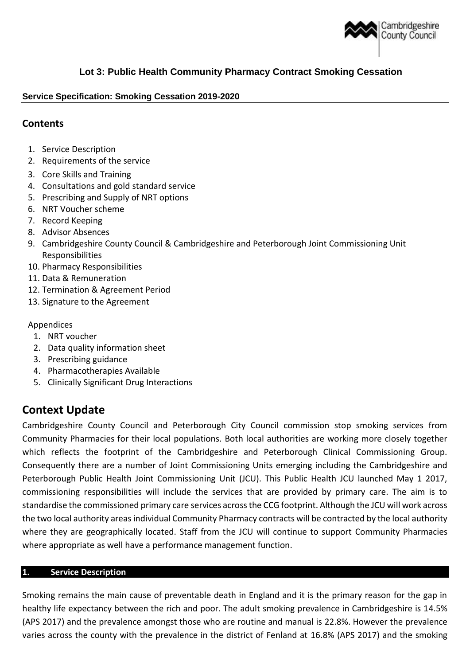

# **Lot 3: Public Health Community Pharmacy Contract Smoking Cessation**

## **Service Specification: Smoking Cessation 2019-2020**

## **Contents**

- 1. Service Description
- 2. Requirements of the service
- 3. Core Skills and Training
- 4. Consultations and gold standard service
- 5. Prescribing and Supply of NRT options
- 6. NRT Voucher scheme
- 7. Record Keeping
- 8. Advisor Absences
- 9. Cambridgeshire County Council & Cambridgeshire and Peterborough Joint Commissioning Unit Responsibilities
- 10. Pharmacy Responsibilities
- 11. Data & Remuneration
- 12. Termination & Agreement Period
- 13. Signature to the Agreement

#### Appendices

- 1. NRT voucher
- 2. Data quality information sheet
- 3. Prescribing guidance
- 4. Pharmacotherapies Available
- 5. Clinically Significant Drug Interactions

# **Context Update**

Cambridgeshire County Council and Peterborough City Council commission stop smoking services from Community Pharmacies for their local populations. Both local authorities are working more closely together which reflects the footprint of the Cambridgeshire and Peterborough Clinical Commissioning Group. Consequently there are a number of Joint Commissioning Units emerging including the Cambridgeshire and Peterborough Public Health Joint Commissioning Unit (JCU). This Public Health JCU launched May 1 2017, commissioning responsibilities will include the services that are provided by primary care. The aim is to standardise the commissioned primary care services across the CCG footprint. Although the JCU will work across the two local authority areas individual Community Pharmacy contracts will be contracted by the local authority where they are geographically located. Staff from the JCU will continue to support Community Pharmacies where appropriate as well have a performance management function.

#### **1. Service Description**

Smoking remains the main cause of preventable death in England and it is the primary reason for the gap in healthy life expectancy between the rich and poor. The adult smoking prevalence in Cambridgeshire is 14.5% (APS 2017) and the prevalence amongst those who are routine and manual is 22.8%. However the prevalence varies across the county with the prevalence in the district of Fenland at 16.8% (APS 2017) and the smoking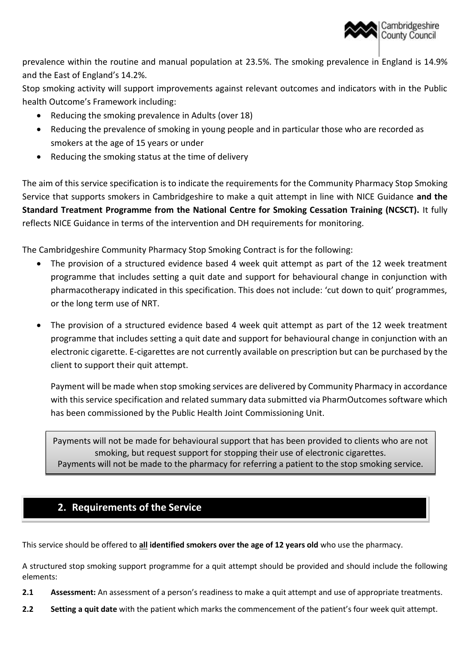

prevalence within the routine and manual population at 23.5%. The smoking prevalence in England is 14.9% and the East of England's 14.2%.

Stop smoking activity will support improvements against relevant outcomes and indicators with in the Public health Outcome's Framework including:

- Reducing the smoking prevalence in Adults (over 18)
- Reducing the prevalence of smoking in young people and in particular those who are recorded as smokers at the age of 15 years or under
- Reducing the smoking status at the time of delivery

The aim of this service specification is to indicate the requirements for the Community Pharmacy Stop Smoking Service that supports smokers in Cambridgeshire to make a quit attempt in line with NICE Guidance **and the Standard Treatment Programme from the National Centre for Smoking Cessation Training (NCSCT).** It fully reflects NICE Guidance in terms of the intervention and DH requirements for monitoring.

The Cambridgeshire Community Pharmacy Stop Smoking Contract is for the following:

- The provision of a structured evidence based 4 week quit attempt as part of the 12 week treatment programme that includes setting a quit date and support for behavioural change in conjunction with pharmacotherapy indicated in this specification. This does not include: 'cut down to quit' programmes, or the long term use of NRT.
- The provision of a structured evidence based 4 week quit attempt as part of the 12 week treatment programme that includes setting a quit date and support for behavioural change in conjunction with an electronic cigarette. E-cigarettes are not currently available on prescription but can be purchased by the client to support their quit attempt.

Payment will be made when stop smoking services are delivered by Community Pharmacy in accordance with this service specification and related summary data submitted via PharmOutcomes software which has been commissioned by the Public Health Joint Commissioning Unit.

Payments will not be made for behavioural support that has been provided to clients who are not smoking, but request support for stopping their use of electronic cigarettes. Payments will not be made to the pharmacy for referring a patient to the stop smoking service.

# **2. Requirements of the Service**

This service should be offered to **all identified smokers over the age of 12 years old** who use the pharmacy.

A structured stop smoking support programme for a quit attempt should be provided and should include the following elements:

- **2.1 Assessment:** An assessment of a person's readiness to make a quit attempt and use of appropriate treatments.
- **2.2 Setting a quit date** with the patient which marks the commencement of the patient's four week quit attempt.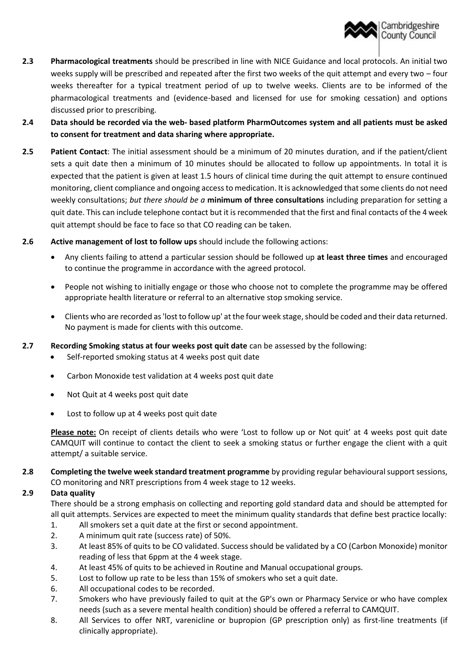

- **2.3 Pharmacological treatments** should be prescribed in line with NICE Guidance and local protocols. An initial two weeks supply will be prescribed and repeated after the first two weeks of the quit attempt and every two – four weeks thereafter for a typical treatment period of up to twelve weeks. Clients are to be informed of the pharmacological treatments and (evidence-based and licensed for use for smoking cessation) and options discussed prior to prescribing.
- **2.4 Data should be recorded via the web- based platform PharmOutcomes system and all patients must be asked to consent for treatment and data sharing where appropriate.**
- **2.5 Patient Contact**: The initial assessment should be a minimum of 20 minutes duration, and if the patient/client sets a quit date then a minimum of 10 minutes should be allocated to follow up appointments. In total it is expected that the patient is given at least 1.5 hours of clinical time during the quit attempt to ensure continued monitoring, client compliance and ongoing access to medication. It is acknowledged that some clients do not need weekly consultations; *but there should be a* **minimum of three consultations** including preparation for setting a quit date. This can include telephone contact but it is recommended that the first and final contacts of the 4 week quit attempt should be face to face so that CO reading can be taken.
- **2.6 Active management of lost to follow ups** should include the following actions:
	- Any clients failing to attend a particular session should be followed up **at least three times** and encouraged to continue the programme in accordance with the agreed protocol.
	- People not wishing to initially engage or those who choose not to complete the programme may be offered appropriate health literature or referral to an alternative stop smoking service.
	- Clients who are recorded as 'lost to follow up' at the four week stage, should be coded and their data returned. No payment is made for clients with this outcome.
- **2.7 Recording Smoking status at four weeks post quit date** can be assessed by the following:
	- Self-reported smoking status at 4 weeks post quit date
	- Carbon Monoxide test validation at 4 weeks post quit date
	- Not Quit at 4 weeks post quit date
	- Lost to follow up at 4 weeks post quit date

**Please note:** On receipt of clients details who were 'Lost to follow up or Not quit' at 4 weeks post quit date CAMQUIT will continue to contact the client to seek a smoking status or further engage the client with a quit attempt/ a suitable service.

**2.8 Completing the twelve week standard treatment programme** by providing regular behavioural support sessions, CO monitoring and NRT prescriptions from 4 week stage to 12 weeks.

#### **2.9 Data quality**

There should be a strong emphasis on collecting and reporting gold standard data and should be attempted for all quit attempts. Services are expected to meet the minimum quality standards that define best practice locally:

- 1. All smokers set a quit date at the first or second appointment.
- 2. A minimum quit rate (success rate) of 50%.
- 3. At least 85% of quits to be CO validated. Success should be validated by a CO (Carbon Monoxide) monitor reading of less that 6ppm at the 4 week stage.
- 4. At least 45% of quits to be achieved in Routine and Manual occupational groups.
- 5. Lost to follow up rate to be less than 15% of smokers who set a quit date.
- 6. All occupational codes to be recorded.
- 7. Smokers who have previously failed to quit at the GP's own or Pharmacy Service or who have complex needs (such as a severe mental health condition) should be offered a referral to CAMQUIT.
- 8. All Services to offer NRT, varenicline or bupropion (GP prescription only) as first-line treatments (if clinically appropriate).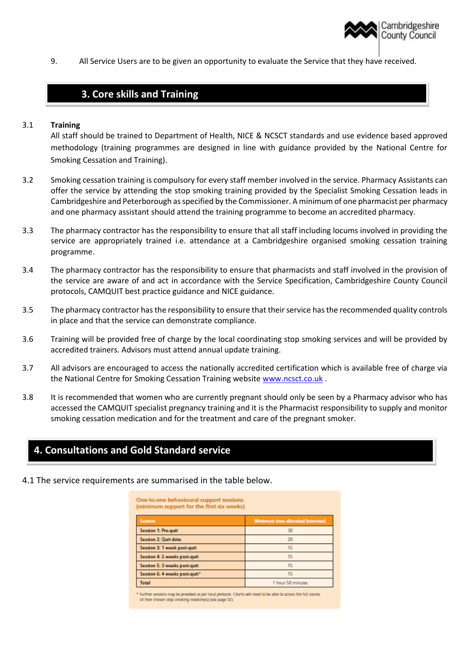

9. All Service Users are to be given an opportunity to evaluate the Service that they have received.

# **3. Core skills and Training**

#### 3.1 **Training**

All staff should be trained to Department of Health, NICE & NCSCT standards and use evidence based approved methodology (training programmes are designed in line with guidance provided by the National Centre for Smoking Cessation and Training).

- 3.2 Smoking cessation training is compulsory for every staff member involved in the service. Pharmacy Assistants can offer the service by attending the stop smoking training provided by the Specialist Smoking Cessation leads in Cambridgeshire and Peterborough as specified by the Commissioner. A minimum of one pharmacist per pharmacy and one pharmacy assistant should attend the training programme to become an accredited pharmacy.
- 3.3 The pharmacy contractor has the responsibility to ensure that all staff including locums involved in providing the service are appropriately trained i.e. attendance at a Cambridgeshire organised smoking cessation training programme.
- 3.4 The pharmacy contractor has the responsibility to ensure that pharmacists and staff involved in the provision of the service are aware of and act in accordance with the Service Specification, Cambridgeshire County Council protocols, CAMQUIT best practice guidance and NICE guidance.
- 3.5 The pharmacy contractor has the responsibility to ensure that their service has the recommended quality controls in place and that the service can demonstrate compliance.
- 3.6 Training will be provided free of charge by the local coordinating stop smoking services and will be provided by accredited trainers. Advisors must attend annual update training.
- 3.7 All advisors are encouraged to access the nationally accredited certification which is available free of charge via the National Centre for Smoking Cessation Training websit[e www.ncsct.co.uk](http://www.ncsct.co.uk/).
- 3.8 It is recommended that women who are currently pregnant should only be seen by a Pharmacy advisor who has accessed the CAMQUIT specialist pregnancy training and it is the Pharmacist responsibility to supply and monitor smoking cessation medication and for the treatment and care of the pregnant smoker.

## **4. Consultations and Gold Standard service**

4.1 The service requirements are summarised in the table below.

One-to-one behavioural support sessions (minimum support for the first six weeks)

| Session                       | Minimum time allocated (minutes) |
|-------------------------------|----------------------------------|
| Session 1: Pre-guit           | 30                               |
| Session 2: Quit date          | 20                               |
| Session 3: 1 week post-guit   | 15                               |
| Session 4: 2 weeks post-quit  | 15                               |
| Session 5: 3 weeks post-quit  | 15                               |
| Session 6: 4 weeks post-quit" | 15                               |
| <b>Total</b>                  | 1 hour 50 minutes                |

Further sessions may be provided as per local protocol. Clients will need to be able to access the full course of their chasen stop smoking medicine(s) (see page 32).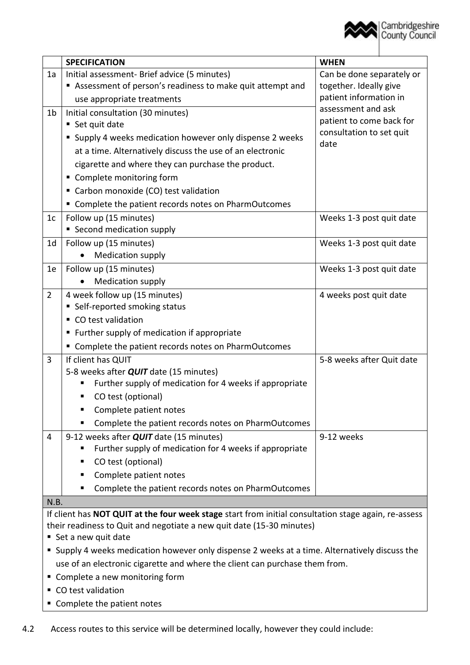

|                                                                                                      | <b>SPECIFICATION</b>                                      | <b>WHEN</b>                      |  |  |
|------------------------------------------------------------------------------------------------------|-----------------------------------------------------------|----------------------------------|--|--|
| 1a                                                                                                   | Initial assessment- Brief advice (5 minutes)              | Can be done separately or        |  |  |
|                                                                                                      | Assessment of person's readiness to make quit attempt and | together. Ideally give           |  |  |
|                                                                                                      | use appropriate treatments                                | patient information in           |  |  |
| 1 <sub>b</sub>                                                                                       | Initial consultation (30 minutes)                         | assessment and ask               |  |  |
|                                                                                                      | ■ Set quit date                                           | patient to come back for         |  |  |
|                                                                                                      | • Supply 4 weeks medication however only dispense 2 weeks | consultation to set quit<br>date |  |  |
|                                                                                                      | at a time. Alternatively discuss the use of an electronic |                                  |  |  |
|                                                                                                      | cigarette and where they can purchase the product.        |                                  |  |  |
|                                                                                                      | • Complete monitoring form                                |                                  |  |  |
|                                                                                                      | Carbon monoxide (CO) test validation                      |                                  |  |  |
|                                                                                                      | " Complete the patient records notes on PharmOutcomes     |                                  |  |  |
| 1 <sub>c</sub>                                                                                       | Follow up (15 minutes)                                    | Weeks 1-3 post quit date         |  |  |
|                                                                                                      | • Second medication supply                                |                                  |  |  |
| 1 <sub>d</sub>                                                                                       | Follow up (15 minutes)                                    | Weeks 1-3 post quit date         |  |  |
|                                                                                                      | Medication supply                                         |                                  |  |  |
| 1e                                                                                                   | Follow up (15 minutes)                                    | Weeks 1-3 post quit date         |  |  |
|                                                                                                      | <b>Medication supply</b>                                  |                                  |  |  |
| $\overline{2}$                                                                                       | 4 week follow up (15 minutes)                             | 4 weeks post quit date           |  |  |
|                                                                                                      | • Self-reported smoking status                            |                                  |  |  |
|                                                                                                      | • CO test validation                                      |                                  |  |  |
|                                                                                                      | ■ Further supply of medication if appropriate             |                                  |  |  |
|                                                                                                      | " Complete the patient records notes on PharmOutcomes     |                                  |  |  |
| 3                                                                                                    | If client has QUIT                                        | 5-8 weeks after Quit date        |  |  |
|                                                                                                      | 5-8 weeks after <b>QUIT</b> date (15 minutes)             |                                  |  |  |
|                                                                                                      | Further supply of medication for 4 weeks if appropriate   |                                  |  |  |
|                                                                                                      | CO test (optional)<br>■                                   |                                  |  |  |
|                                                                                                      | Complete patient notes<br>п                               |                                  |  |  |
|                                                                                                      | Complete the patient records notes on PharmOutcomes<br>■  |                                  |  |  |
| $\overline{4}$                                                                                       | 9-12 weeks after <b>QUIT</b> date (15 minutes)            | 9-12 weeks                       |  |  |
|                                                                                                      | Further supply of medication for 4 weeks if appropriate   |                                  |  |  |
|                                                                                                      | CO test (optional)<br>п                                   |                                  |  |  |
|                                                                                                      | Complete patient notes<br>ш                               |                                  |  |  |
|                                                                                                      | Complete the patient records notes on PharmOutcomes<br>٠  |                                  |  |  |
| N.B.                                                                                                 |                                                           |                                  |  |  |
| If client has NOT QUIT at the four week stage start from initial consultation stage again, re-assess |                                                           |                                  |  |  |
| their readiness to Quit and negotiate a new quit date (15-30 minutes)                                |                                                           |                                  |  |  |
| ■ Set a new quit date                                                                                |                                                           |                                  |  |  |
| • Supply 4 weeks medication however only dispense 2 weeks at a time. Alternatively discuss the       |                                                           |                                  |  |  |

- use of an electronic cigarette and where the client can purchase them from.
- Complete a new monitoring form
- CO test validation
- **Complete the patient notes**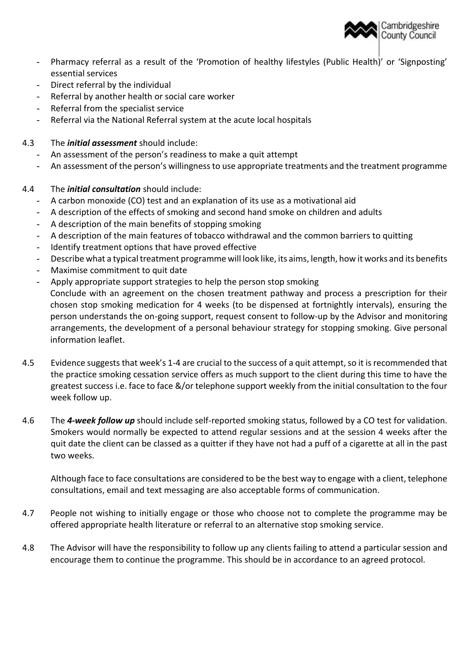

- Pharmacy referral as a result of the 'Promotion of healthy lifestyles (Public Health)' or 'Signposting' essential services
- Direct referral by the individual
- Referral by another health or social care worker
- Referral from the specialist service
- Referral via the National Referral system at the acute local hospitals
- 4.3 The *initial assessment* should include:
	- An assessment of the person's readiness to make a quit attempt
	- An assessment of the person's willingness to use appropriate treatments and the treatment programme
- 4.4 The *initial consultation* should include:
	- A carbon monoxide (CO) test and an explanation of its use as a motivational aid
	- A description of the effects of smoking and second hand smoke on children and adults
	- A description of the main benefits of stopping smoking
	- A description of the main features of tobacco withdrawal and the common barriers to quitting
	- Identify treatment options that have proved effective
	- Describe what a typical treatment programme will look like, its aims, length, how it works and its benefits
	- Maximise commitment to quit date
	- Apply appropriate support strategies to help the person stop smoking Conclude with an agreement on the chosen treatment pathway and process a prescription for their chosen stop smoking medication for 4 weeks (to be dispensed at fortnightly intervals), ensuring the person understands the on-going support, request consent to follow-up by the Advisor and monitoring arrangements, the development of a personal behaviour strategy for stopping smoking. Give personal information leaflet.
- 4.5 Evidence suggests that week's 1-4 are crucial to the success of a quit attempt, so it is recommended that the practice smoking cessation service offers as much support to the client during this time to have the greatest success i.e. face to face &/or telephone support weekly from the initial consultation to the four week follow up.
- 4.6 The *4-week follow up* should include self-reported smoking status, followed by a CO test for validation. Smokers would normally be expected to attend regular sessions and at the session 4 weeks after the quit date the client can be classed as a quitter if they have not had a puff of a cigarette at all in the past two weeks.

Although face to face consultations are considered to be the best way to engage with a client, telephone consultations, email and text messaging are also acceptable forms of communication.

- 4.7 People not wishing to initially engage or those who choose not to complete the programme may be offered appropriate health literature or referral to an alternative stop smoking service.
- 4.8 The Advisor will have the responsibility to follow up any clients failing to attend a particular session and encourage them to continue the programme. This should be in accordance to an agreed protocol.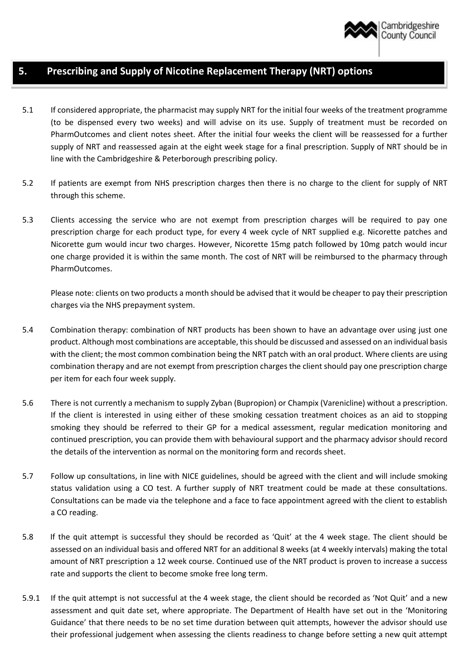

# **5. Prescribing and Supply of Nicotine Replacement Therapy (NRT) options**

- 5.1 If considered appropriate, the pharmacist may supply NRT for the initial four weeks of the treatment programme (to be dispensed every two weeks) and will advise on its use. Supply of treatment must be recorded on PharmOutcomes and client notes sheet. After the initial four weeks the client will be reassessed for a further supply of NRT and reassessed again at the eight week stage for a final prescription. Supply of NRT should be in line with the Cambridgeshire & Peterborough prescribing policy.
- 5.2 If patients are exempt from NHS prescription charges then there is no charge to the client for supply of NRT through this scheme.
- 5.3 Clients accessing the service who are not exempt from prescription charges will be required to pay one prescription charge for each product type, for every 4 week cycle of NRT supplied e.g. Nicorette patches and Nicorette gum would incur two charges. However, Nicorette 15mg patch followed by 10mg patch would incur one charge provided it is within the same month. The cost of NRT will be reimbursed to the pharmacy through PharmOutcomes.

Please note: clients on two products a month should be advised that it would be cheaper to pay their prescription charges via the NHS prepayment system.

- 5.4 Combination therapy: combination of NRT products has been shown to have an advantage over using just one product. Although most combinations are acceptable, this should be discussed and assessed on an individual basis with the client; the most common combination being the NRT patch with an oral product. Where clients are using combination therapy and are not exempt from prescription charges the client should pay one prescription charge per item for each four week supply.
- 5.6 There is not currently a mechanism to supply Zyban (Bupropion) or Champix (Varenicline) without a prescription. If the client is interested in using either of these smoking cessation treatment choices as an aid to stopping smoking they should be referred to their GP for a medical assessment, regular medication monitoring and continued prescription, you can provide them with behavioural support and the pharmacy advisor should record the details of the intervention as normal on the monitoring form and records sheet.
- 5.7 Follow up consultations, in line with NICE guidelines, should be agreed with the client and will include smoking status validation using a CO test. A further supply of NRT treatment could be made at these consultations. Consultations can be made via the telephone and a face to face appointment agreed with the client to establish a CO reading.
- 5.8 If the quit attempt is successful they should be recorded as 'Quit' at the 4 week stage. The client should be assessed on an individual basis and offered NRT for an additional 8 weeks (at 4 weekly intervals) making the total amount of NRT prescription a 12 week course. Continued use of the NRT product is proven to increase a success rate and supports the client to become smoke free long term.
- 5.9.1 If the quit attempt is not successful at the 4 week stage, the client should be recorded as 'Not Quit' and a new assessment and quit date set, where appropriate. The Department of Health have set out in the 'Monitoring Guidance' that there needs to be no set time duration between quit attempts, however the advisor should use their professional judgement when assessing the clients readiness to change before setting a new quit attempt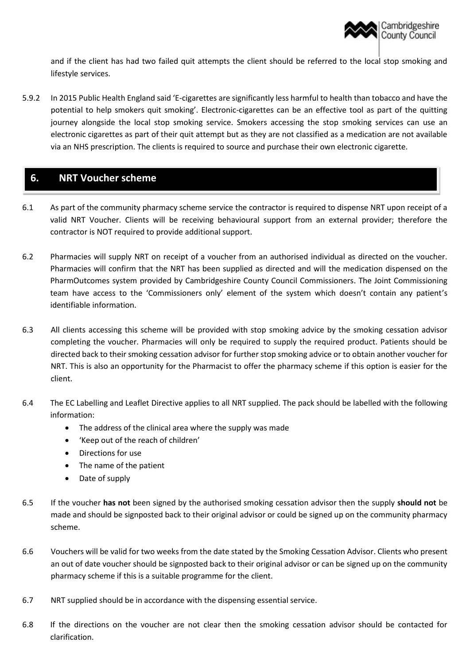

and if the client has had two failed quit attempts the client should be referred to the local stop smoking and lifestyle services.

5.9.2 In 2015 Public Health England said 'E-cigarettes are significantly less harmful to health than tobacco and have the potential to help smokers quit smoking'. Electronic-cigarettes can be an effective tool as part of the quitting journey alongside the local stop smoking service. Smokers accessing the stop smoking services can use an electronic cigarettes as part of their quit attempt but as they are not classified as a medication are not available via an NHS prescription. The clients is required to source and purchase their own electronic cigarette.

# **6. NRT Voucher scheme**

- 6.1 As part of the community pharmacy scheme service the contractor is required to dispense NRT upon receipt of a valid NRT Voucher. Clients will be receiving behavioural support from an external provider; therefore the contractor is NOT required to provide additional support.
- 6.2 Pharmacies will supply NRT on receipt of a voucher from an authorised individual as directed on the voucher. Pharmacies will confirm that the NRT has been supplied as directed and will the medication dispensed on the PharmOutcomes system provided by Cambridgeshire County Council Commissioners. The Joint Commissioning team have access to the 'Commissioners only' element of the system which doesn't contain any patient's identifiable information.
- 6.3 All clients accessing this scheme will be provided with stop smoking advice by the smoking cessation advisor completing the voucher. Pharmacies will only be required to supply the required product. Patients should be directed back to their smoking cessation advisor for further stop smoking advice or to obtain another voucher for NRT. This is also an opportunity for the Pharmacist to offer the pharmacy scheme if this option is easier for the client.
- 6.4 The EC Labelling and Leaflet Directive applies to all NRT supplied. The pack should be labelled with the following information:
	- The address of the clinical area where the supply was made
	- 'Keep out of the reach of children'
	- Directions for use
	- The name of the patient
	- Date of supply
- 6.5 If the voucher **has not** been signed by the authorised smoking cessation advisor then the supply **should not** be made and should be signposted back to their original advisor or could be signed up on the community pharmacy scheme.
- 6.6 Vouchers will be valid for two weeks from the date stated by the Smoking Cessation Advisor. Clients who present an out of date voucher should be signposted back to their original advisor or can be signed up on the community pharmacy scheme if this is a suitable programme for the client.
- 6.7 NRT supplied should be in accordance with the dispensing essential service.
- 6.8 If the directions on the voucher are not clear then the smoking cessation advisor should be contacted for clarification.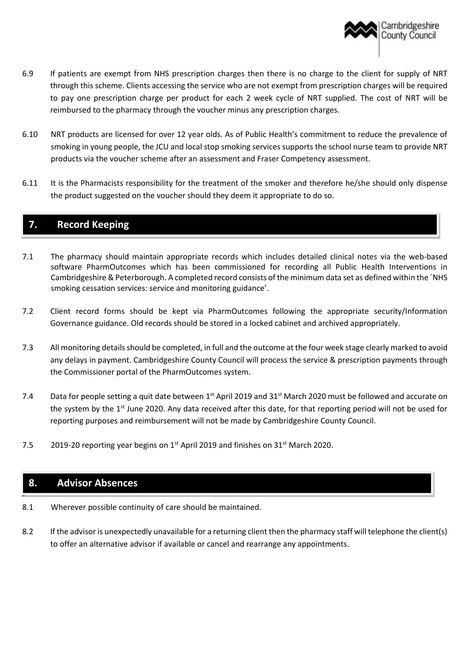

- 6.9 If patients are exempt from NHS prescription charges then there is no charge to the client for supply of NRT through this scheme. Clients accessing the service who are not exempt from prescription charges will be required to pay one prescription charge per product for each 2 week cycle of NRT supplied. The cost of NRT will be reimbursed to the pharmacy through the voucher minus any prescription charges.
- 6.10 NRT products are licensed for over 12 year olds. As of Public Health's commitment to reduce the prevalence of smoking in young people, the JCU and local stop smoking services supports the school nurse team to provide NRT products via the voucher scheme after an assessment and Fraser Competency assessment.
- 6.11 It is the Pharmacists responsibility for the treatment of the smoker and therefore he/she should only dispense the product suggested on the voucher should they deem it appropriate to do so.

# **7. Record Keeping**

- 7.1 The pharmacy should maintain appropriate records which includes detailed clinical notes via the web-based software PharmOutcomes which has been commissioned for recording all Public Health Interventions in Cambridgeshire & Peterborough. A completed record consists of the minimum data set as defined within the ´NHS smoking cessation services: service and monitoring guidance'.
- 7.2 Client record forms should be kept via PharmOutcomes following the appropriate security/Information Governance guidance. Old records should be stored in a locked cabinet and archived appropriately.
- 7.3 All monitoring detailsshould be completed, in full and the outcome at the four week stage clearly marked to avoid any delays in payment. Cambridgeshire County Council will process the service & prescription payments through the Commissioner portal of the PharmOutcomes system.
- 7.4 Data for people setting a quit date between  $1^{st}$  April 2019 and  $31^{st}$  March 2020 must be followed and accurate on the system by the 1<sup>st</sup> June 2020. Any data received after this date, for that reporting period will not be used for reporting purposes and reimbursement will not be made by Cambridgeshire County Council.
- 7.5 2019-20 reporting year begins on  $1<sup>st</sup>$  April 2019 and finishes on  $31<sup>st</sup>$  March 2020.

## **8. Advisor Absences**

-

- 8.1 Wherever possible continuity of care should be maintained.
- 8.2 If the advisor is unexpectedly unavailable for a returning client then the pharmacy staff will telephone the client(s) to offer an alternative advisor if available or cancel and rearrange any appointments.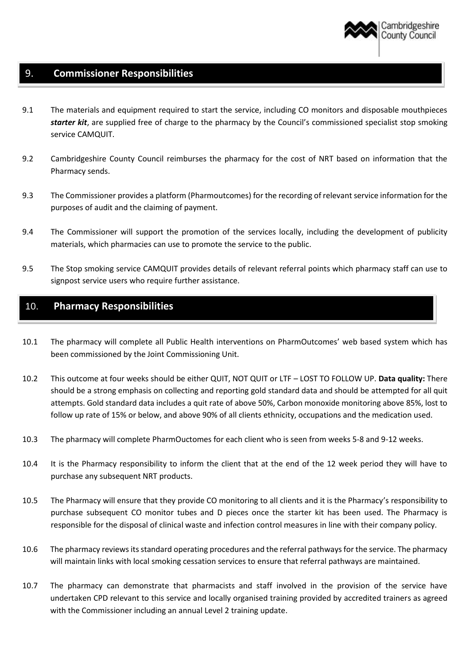

## 9. **Commissioner Responsibilities**

- 9.1 The materials and equipment required to start the service, including CO monitors and disposable mouthpieces *starter kit*, are supplied free of charge to the pharmacy by the Council's commissioned specialist stop smoking service CAMQUIT.
- 9.2 Cambridgeshire County Council reimburses the pharmacy for the cost of NRT based on information that the Pharmacy sends.
- 9.3 The Commissioner provides a platform (Pharmoutcomes) for the recording of relevant service information for the purposes of audit and the claiming of payment.
- 9.4 The Commissioner will support the promotion of the services locally, including the development of publicity materials, which pharmacies can use to promote the service to the public.
- 9.5 The Stop smoking service CAMQUIT provides details of relevant referral points which pharmacy staff can use to signpost service users who require further assistance.

## 10. **Pharmacy Responsibilities**

- 10.1 The pharmacy will complete all Public Health interventions on PharmOutcomes' web based system which has been commissioned by the Joint Commissioning Unit.
- 10.2 This outcome at four weeks should be either QUIT, NOT QUIT or LTF LOST TO FOLLOW UP. **Data quality:** There should be a strong emphasis on collecting and reporting gold standard data and should be attempted for all quit attempts. Gold standard data includes a quit rate of above 50%, Carbon monoxide monitoring above 85%, lost to follow up rate of 15% or below, and above 90% of all clients ethnicity, occupations and the medication used.
- 10.3 The pharmacy will complete PharmOuctomes for each client who is seen from weeks 5-8 and 9-12 weeks.
- 10.4 It is the Pharmacy responsibility to inform the client that at the end of the 12 week period they will have to purchase any subsequent NRT products.
- 10.5 The Pharmacy will ensure that they provide CO monitoring to all clients and it is the Pharmacy's responsibility to purchase subsequent CO monitor tubes and D pieces once the starter kit has been used. The Pharmacy is responsible for the disposal of clinical waste and infection control measures in line with their company policy.
- 10.6 The pharmacy reviews its standard operating procedures and the referral pathways for the service. The pharmacy will maintain links with local smoking cessation services to ensure that referral pathways are maintained.
- 10.7 The pharmacy can demonstrate that pharmacists and staff involved in the provision of the service have undertaken CPD relevant to this service and locally organised training provided by accredited trainers as agreed with the Commissioner including an annual Level 2 training update.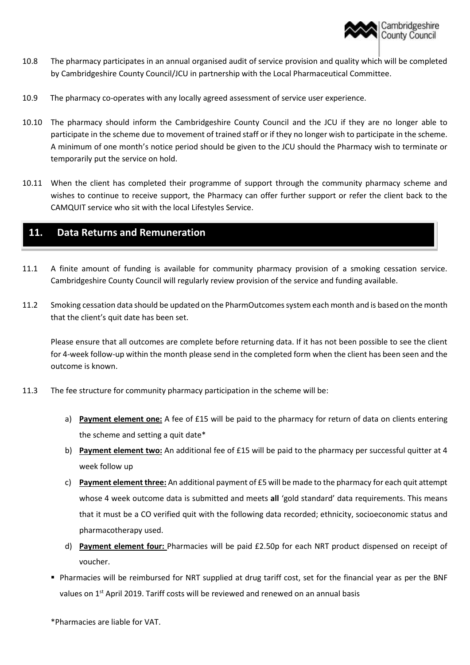

- 10.8 The pharmacy participates in an annual organised audit of service provision and quality which will be completed by Cambridgeshire County Council/JCU in partnership with the Local Pharmaceutical Committee.
- 10.9 The pharmacy co-operates with any locally agreed assessment of service user experience.
- 10.10 The pharmacy should inform the Cambridgeshire County Council and the JCU if they are no longer able to participate in the scheme due to movement of trained staff or if they no longer wish to participate in the scheme. A minimum of one month's notice period should be given to the JCU should the Pharmacy wish to terminate or temporarily put the service on hold.
- 10.11 When the client has completed their programme of support through the community pharmacy scheme and wishes to continue to receive support, the Pharmacy can offer further support or refer the client back to the CAMQUIT service who sit with the local Lifestyles Service.

# **11. Data Returns and Remuneration**

- 11.1 A finite amount of funding is available for community pharmacy provision of a smoking cessation service. Cambridgeshire County Council will regularly review provision of the service and funding available.
- 11.2 Smoking cessation data should be updated on the PharmOutcomes system each month and is based on the month that the client's quit date has been set.

Please ensure that all outcomes are complete before returning data. If it has not been possible to see the client for 4-week follow-up within the month please send in the completed form when the client has been seen and the outcome is known.

- 11.3 The fee structure for community pharmacy participation in the scheme will be:
	- a) **Payment element one:** A fee of £15 will be paid to the pharmacy for return of data on clients entering the scheme and setting a quit date\*
	- b) **Payment element two:** An additional fee of £15 will be paid to the pharmacy per successful quitter at 4 week follow up
	- c) **Payment element three:** An additional payment of £5 will be made to the pharmacy for each quit attempt whose 4 week outcome data is submitted and meets **all** 'gold standard' data requirements. This means that it must be a CO verified quit with the following data recorded; ethnicity, socioeconomic status and pharmacotherapy used.
	- d) **Payment element four:** Pharmacies will be paid £2.50p for each NRT product dispensed on receipt of voucher.
	- Pharmacies will be reimbursed for NRT supplied at drug tariff cost, set for the financial year as per the BNF values on 1<sup>st</sup> April 2019. Tariff costs will be reviewed and renewed on an annual basis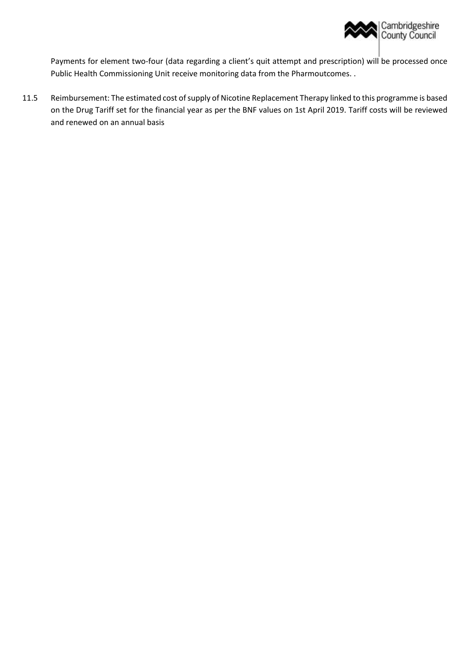

Payments for element two-four (data regarding a client's quit attempt and prescription) will be processed once Public Health Commissioning Unit receive monitoring data from the Pharmoutcomes. .

11.5 Reimbursement: The estimated cost of supply of Nicotine Replacement Therapy linked to this programme is based on the Drug Tariff set for the financial year as per the BNF values on 1st April 2019. Tariff costs will be reviewed and renewed on an annual basis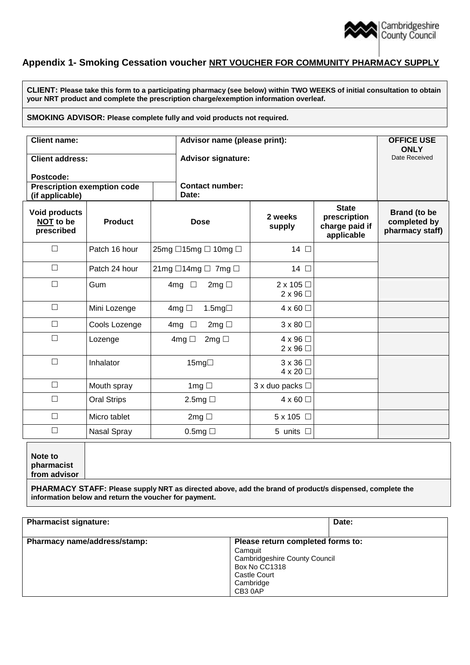

## **Appendix 1- Smoking Cessation voucher NRT VOUCHER FOR COMMUNITY PHARMACY SUPPLY**

**CLIENT: Please take this form to a participating pharmacy (see below) within TWO WEEKS of initial consultation to obtain your NRT product and complete the prescription charge/exemption information overleaf.**

#### **SMOKING ADVISOR: Please complete fully and void products not required.**

| <b>Client name:</b>                                   |                    |                                           | Advisor name (please print):        |                                                              |                                                        |
|-------------------------------------------------------|--------------------|-------------------------------------------|-------------------------------------|--------------------------------------------------------------|--------------------------------------------------------|
| <b>Client address:</b>                                |                    |                                           | <b>Advisor signature:</b>           |                                                              |                                                        |
| Postcode:                                             |                    |                                           |                                     |                                                              |                                                        |
| <b>Prescription exemption code</b><br>(if applicable) |                    | Date:                                     | <b>Contact number:</b>              |                                                              |                                                        |
| <b>Void products</b><br>NOT to be<br>prescribed       | <b>Product</b>     | <b>Dose</b>                               | 2 weeks<br>supply                   | <b>State</b><br>prescription<br>charge paid if<br>applicable | <b>Brand (to be</b><br>completed by<br>pharmacy staff) |
| $\Box$                                                | Patch 16 hour      | 25mg □15mg □ 10mg □                       | 14 口                                |                                                              |                                                        |
| $\Box$                                                | Patch 24 hour      | $21mg \square 14mg \square$ 7mg $\square$ | 14 口                                |                                                              |                                                        |
| $\Box$                                                | Gum                | 4mg $\Box$<br>$2mg \Box$                  | $2 \times 105$<br>$2 \times 96$     |                                                              |                                                        |
| $\Box$                                                | Mini Lozenge       | 4mg $\Box$<br>1.5mg $\Box$                | $4 \times 60$                       |                                                              |                                                        |
| $\Box$                                                | Cools Lozenge      | 2mg $\Box$<br>4mg $\Box$                  | $3 \times 80$                       |                                                              |                                                        |
| $\Box$                                                | Lozenge            | $2mg \Box$<br>4mg $\Box$                  | $4 \times 96$<br>$2 \times 96$      |                                                              |                                                        |
| $\Box$                                                | Inhalator          | 15mg□                                     | $3 \times 36 \Box$<br>$4 \times 20$ |                                                              |                                                        |
| $\Box$                                                | Mouth spray        | 1mg $\Box$                                | 3 x duo packs □                     |                                                              |                                                        |
| $\Box$                                                | <b>Oral Strips</b> | 2.5mg $\Box$                              | $4 \times 60$ $\Box$                |                                                              |                                                        |
| $\Box$                                                | Micro tablet       | $2mg \Box$                                | 5 x 105 □                           |                                                              |                                                        |
| $\Box$                                                | Nasal Spray        | 0.5mg                                     | 5 units $\Box$                      |                                                              |                                                        |

**Note to pharmacist from advisor**

**PHARMACY STAFF: Please supply NRT as directed above, add the brand of product/s dispensed, complete the information below and return the voucher for payment.**

| <b>Pharmacist signature:</b> | Date:                                                                                                                                        |
|------------------------------|----------------------------------------------------------------------------------------------------------------------------------------------|
| Pharmacy name/address/stamp: | Please return completed forms to:<br>Camquit<br><b>Cambridgeshire County Council</b><br>Box No CC1318<br>Castle Court<br>Cambridge<br>CB30AP |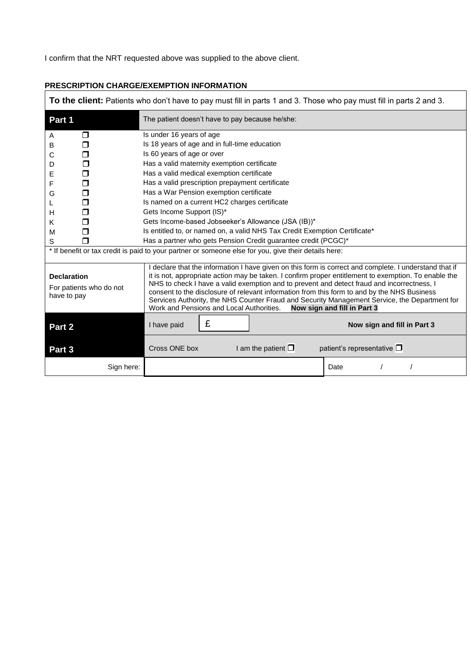I confirm that the NRT requested above was supplied to the above client.

| <b>To the client:</b> Patients who don't have to pay must fill in parts 1 and 3. Those who pay must fill in parts 2 and 3. |                                                                                                                                                                                                                                                                                                                                                                                                                                                                                                                                                                                         |  |  |  |
|----------------------------------------------------------------------------------------------------------------------------|-----------------------------------------------------------------------------------------------------------------------------------------------------------------------------------------------------------------------------------------------------------------------------------------------------------------------------------------------------------------------------------------------------------------------------------------------------------------------------------------------------------------------------------------------------------------------------------------|--|--|--|
| Part 1                                                                                                                     | The patient doesn't have to pay because he/she:                                                                                                                                                                                                                                                                                                                                                                                                                                                                                                                                         |  |  |  |
| ⊓<br>A                                                                                                                     | Is under 16 years of age                                                                                                                                                                                                                                                                                                                                                                                                                                                                                                                                                                |  |  |  |
| в<br>⊓                                                                                                                     | Is 18 years of age and in full-time education                                                                                                                                                                                                                                                                                                                                                                                                                                                                                                                                           |  |  |  |
| ⊓<br>С                                                                                                                     | Is 60 years of age or over                                                                                                                                                                                                                                                                                                                                                                                                                                                                                                                                                              |  |  |  |
| D<br>П                                                                                                                     | Has a valid maternity exemption certificate                                                                                                                                                                                                                                                                                                                                                                                                                                                                                                                                             |  |  |  |
| ⊓<br>Е                                                                                                                     | Has a valid medical exemption certificate                                                                                                                                                                                                                                                                                                                                                                                                                                                                                                                                               |  |  |  |
| F<br>⊓                                                                                                                     | Has a valid prescription prepayment certificate                                                                                                                                                                                                                                                                                                                                                                                                                                                                                                                                         |  |  |  |
| □<br>G                                                                                                                     | Has a War Pension exemption certificate                                                                                                                                                                                                                                                                                                                                                                                                                                                                                                                                                 |  |  |  |
| □<br>L                                                                                                                     | Is named on a current HC2 charges certificate                                                                                                                                                                                                                                                                                                                                                                                                                                                                                                                                           |  |  |  |
| н<br>⊓                                                                                                                     | Gets Income Support (IS)*                                                                                                                                                                                                                                                                                                                                                                                                                                                                                                                                                               |  |  |  |
| Κ<br>⊓                                                                                                                     | Gets Income-based Jobseeker's Allowance (JSA (IB))*                                                                                                                                                                                                                                                                                                                                                                                                                                                                                                                                     |  |  |  |
| ⊓<br>М                                                                                                                     | Is entitled to, or named on, a valid NHS Tax Credit Exemption Certificate*                                                                                                                                                                                                                                                                                                                                                                                                                                                                                                              |  |  |  |
| S                                                                                                                          | Has a partner who gets Pension Credit guarantee credit (PCGC)*                                                                                                                                                                                                                                                                                                                                                                                                                                                                                                                          |  |  |  |
| * If benefit or tax credit is paid to your partner or someone else for you, give their details here:                       |                                                                                                                                                                                                                                                                                                                                                                                                                                                                                                                                                                                         |  |  |  |
| <b>Declaration</b><br>For patients who do not<br>have to pay                                                               | I declare that the information I have given on this form is correct and complete. I understand that if<br>it is not, appropriate action may be taken. I confirm proper entitlement to exemption. To enable the<br>NHS to check I have a valid exemption and to prevent and detect fraud and incorrectness, I<br>consent to the disclosure of relevant information from this form to and by the NHS Business<br>Services Authority, the NHS Counter Fraud and Security Management Service, the Department for<br>Work and Pensions and Local Authorities.<br>Now sign and fill in Part 3 |  |  |  |
| Part 2                                                                                                                     | £<br>I have paid<br>Now sign and fill in Part 3                                                                                                                                                                                                                                                                                                                                                                                                                                                                                                                                         |  |  |  |
| Part 3                                                                                                                     | Cross ONE box<br>patient's representative $\square$<br>I am the patient $\square$                                                                                                                                                                                                                                                                                                                                                                                                                                                                                                       |  |  |  |
| Sign here:                                                                                                                 | Date                                                                                                                                                                                                                                                                                                                                                                                                                                                                                                                                                                                    |  |  |  |

٦

# **PRESCRIPTION CHARGE/EXEMPTION INFORMATION**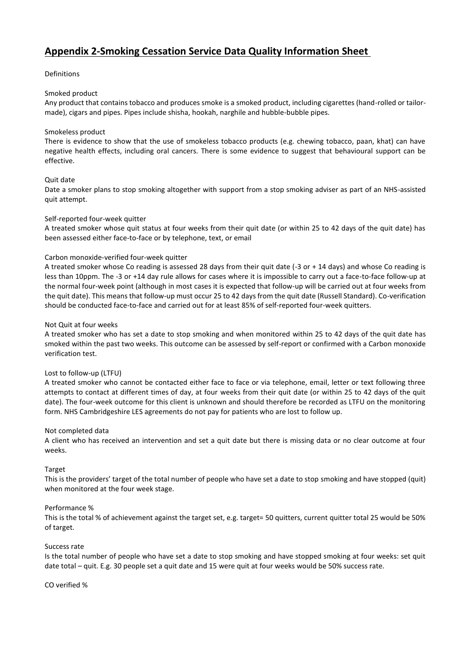# **Appendix 2-Smoking Cessation Service Data Quality Information Sheet**

#### Definitions

#### Smoked product

Any product that contains tobacco and produces smoke is a smoked product, including cigarettes (hand-rolled or tailormade), cigars and pipes. Pipes include shisha, hookah, narghile and hubble-bubble pipes.

#### Smokeless product

There is evidence to show that the use of smokeless tobacco products (e.g. chewing tobacco, paan, khat) can have negative health effects, including oral cancers. There is some evidence to suggest that behavioural support can be effective.

#### Quit date

Date a smoker plans to stop smoking altogether with support from a stop smoking adviser as part of an NHS-assisted quit attempt.

#### Self-reported four-week quitter

A treated smoker whose quit status at four weeks from their quit date (or within 25 to 42 days of the quit date) has been assessed either face-to-face or by telephone, text, or email

#### Carbon monoxide-verified four-week quitter

A treated smoker whose Co reading is assessed 28 days from their quit date (-3 or + 14 days) and whose Co reading is less than 10ppm. The -3 or +14 day rule allows for cases where it is impossible to carry out a face-to-face follow-up at the normal four-week point (although in most cases it is expected that follow-up will be carried out at four weeks from the quit date). This means that follow-up must occur 25 to 42 days from the quit date (Russell Standard). Co-verification should be conducted face-to-face and carried out for at least 85% of self-reported four-week quitters.

#### Not Quit at four weeks

A treated smoker who has set a date to stop smoking and when monitored within 25 to 42 days of the quit date has smoked within the past two weeks. This outcome can be assessed by self-report or confirmed with a Carbon monoxide verification test.

#### Lost to follow-up (LTFU)

A treated smoker who cannot be contacted either face to face or via telephone, email, letter or text following three attempts to contact at different times of day, at four weeks from their quit date (or within 25 to 42 days of the quit date). The four-week outcome for this client is unknown and should therefore be recorded as LTFU on the monitoring form. NHS Cambridgeshire LES agreements do not pay for patients who are lost to follow up.

#### Not completed data

A client who has received an intervention and set a quit date but there is missing data or no clear outcome at four weeks.

#### Target

This is the providers' target of the total number of people who have set a date to stop smoking and have stopped (quit) when monitored at the four week stage.

#### Performance %

This is the total % of achievement against the target set, e.g. target= 50 quitters, current quitter total 25 would be 50% of target.

#### Success rate

Is the total number of people who have set a date to stop smoking and have stopped smoking at four weeks: set quit date total – quit. E.g. 30 people set a quit date and 15 were quit at four weeks would be 50% success rate.

#### CO verified %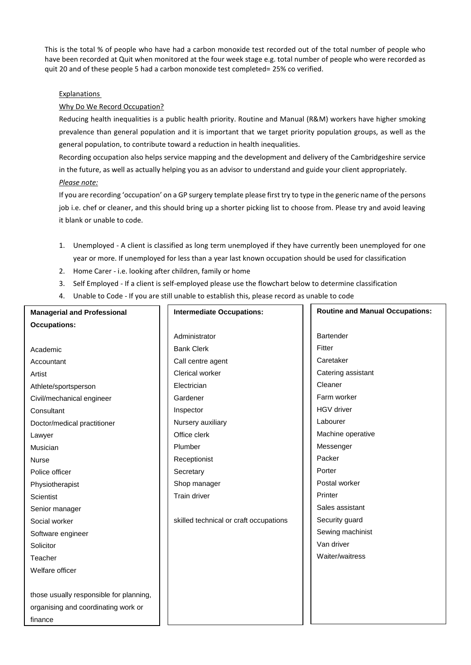This is the total % of people who have had a carbon monoxide test recorded out of the total number of people who have been recorded at Quit when monitored at the four week stage e.g. total number of people who were recorded as quit 20 and of these people 5 had a carbon monoxide test completed= 25% co verified.

#### Explanations

#### Why Do We Record Occupation?

Reducing health inequalities is a public health priority. Routine and Manual (R&M) workers have higher smoking prevalence than general population and it is important that we target priority population groups, as well as the general population, to contribute toward a reduction in health inequalities.

Recording occupation also helps service mapping and the development and delivery of the Cambridgeshire service in the future, as well as actually helping you as an advisor to understand and guide your client appropriately. *Please note:*

If you are recording 'occupation' on a GP surgery template please first try to type in the generic name of the persons job i.e. chef or cleaner, and this should bring up a shorter picking list to choose from. Please try and avoid leaving it blank or unable to code.

- 1. Unemployed A client is classified as long term unemployed if they have currently been unemployed for one year or more. If unemployed for less than a year last known occupation should be used for classification
- 2. Home Carer i.e. looking after children, family or home
- 3. Self Employed If a client is self-employed please use the flowchart below to determine classification
- 4. Unable to Code If you are still unable to establish this, please record as unable to code

| <b>Managerial and Professional</b>      | <b>Intermediate Occupations:</b>       | <b>Routine and Manual Occupations:</b> |  |
|-----------------------------------------|----------------------------------------|----------------------------------------|--|
| <b>Occupations:</b>                     |                                        |                                        |  |
|                                         | Administrator                          | <b>Bartender</b>                       |  |
| Academic                                | <b>Bank Clerk</b>                      | Fitter                                 |  |
| Accountant                              | Call centre agent                      | Caretaker                              |  |
| Artist                                  | Clerical worker                        | Catering assistant                     |  |
| Athlete/sportsperson                    | Electrician                            | Cleaner                                |  |
| Civil/mechanical engineer               | Gardener                               | Farm worker                            |  |
| Consultant                              | Inspector                              | <b>HGV</b> driver                      |  |
| Doctor/medical practitioner             | Nursery auxiliary                      | Labourer                               |  |
| Lawyer                                  | Office clerk                           | Machine operative                      |  |
| Musician                                | Plumber                                | Messenger                              |  |
| <b>Nurse</b>                            | Receptionist                           | Packer                                 |  |
| Police officer                          | Secretary                              | Porter                                 |  |
| Physiotherapist                         | Shop manager                           | Postal worker                          |  |
| Scientist                               | Train driver                           | Printer                                |  |
| Senior manager                          |                                        | Sales assistant                        |  |
| Social worker                           | skilled technical or craft occupations | Security guard                         |  |
| Software engineer                       |                                        | Sewing machinist                       |  |
| Solicitor                               |                                        | Van driver                             |  |
| Teacher                                 |                                        | Waiter/waitress                        |  |
| Welfare officer                         |                                        |                                        |  |
|                                         |                                        |                                        |  |
| those usually responsible for planning, |                                        |                                        |  |
| organising and coordinating work or     |                                        |                                        |  |
| finance                                 |                                        |                                        |  |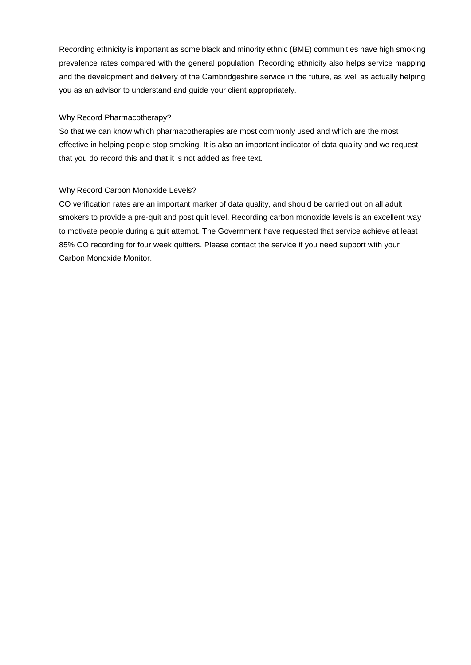Recording ethnicity is important as some black and minority ethnic (BME) communities have high smoking prevalence rates compared with the general population. Recording ethnicity also helps service mapping and the development and delivery of the Cambridgeshire service in the future, as well as actually helping you as an advisor to understand and guide your client appropriately.

#### Why Record Pharmacotherapy?

So that we can know which pharmacotherapies are most commonly used and which are the most effective in helping people stop smoking. It is also an important indicator of data quality and we request that you do record this and that it is not added as free text.

#### Why Record Carbon Monoxide Levels?

CO verification rates are an important marker of data quality, and should be carried out on all adult smokers to provide a pre-quit and post quit level. Recording carbon monoxide levels is an excellent way to motivate people during a quit attempt. The Government have requested that service achieve at least 85% CO recording for four week quitters. Please contact the service if you need support with your Carbon Monoxide Monitor.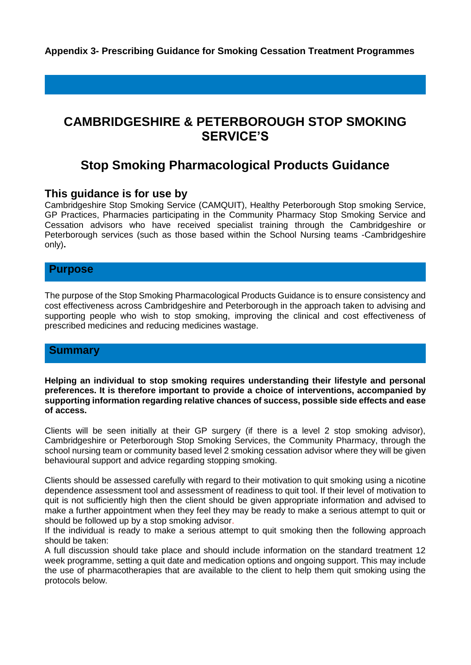**Appendix 3- Prescribing Guidance for Smoking Cessation Treatment Programmes**

# **CAMBRIDGESHIRE & PETERBOROUGH STOP SMOKING SERVICE'S**

# **Stop Smoking Pharmacological Products Guidance**

## **This guidance is for use by**

Cambridgeshire Stop Smoking Service (CAMQUIT), Healthy Peterborough Stop smoking Service, GP Practices, Pharmacies participating in the Community Pharmacy Stop Smoking Service and Cessation advisors who have received specialist training through the Cambridgeshire or Peterborough services (such as those based within the School Nursing teams -Cambridgeshire only)**.**

## **Purpose**

The purpose of the Stop Smoking Pharmacological Products Guidance is to ensure consistency and cost effectiveness across Cambridgeshire and Peterborough in the approach taken to advising and supporting people who wish to stop smoking, improving the clinical and cost effectiveness of prescribed medicines and reducing medicines wastage.

## **Summary**

**Helping an individual to stop smoking requires understanding their lifestyle and personal preferences. It is therefore important to provide a choice of interventions, accompanied by supporting information regarding relative chances of success, possible side effects and ease of access.**

Clients will be seen initially at their GP surgery (if there is a level 2 stop smoking advisor), Cambridgeshire or Peterborough Stop Smoking Services, the Community Pharmacy, through the school nursing team or community based level 2 smoking cessation advisor where they will be given behavioural support and advice regarding stopping smoking.

Clients should be assessed carefully with regard to their motivation to quit smoking using a nicotine dependence assessment tool and assessment of readiness to quit tool. If their level of motivation to quit is not sufficiently high then the client should be given appropriate information and advised to make a further appointment when they feel they may be ready to make a serious attempt to quit or should be followed up by a stop smoking advisor.

If the individual is ready to make a serious attempt to quit smoking then the following approach should be taken:

A full discussion should take place and should include information on the standard treatment 12 week programme, setting a quit date and medication options and ongoing support. This may include the use of pharmacotherapies that are available to the client to help them quit smoking using the protocols below.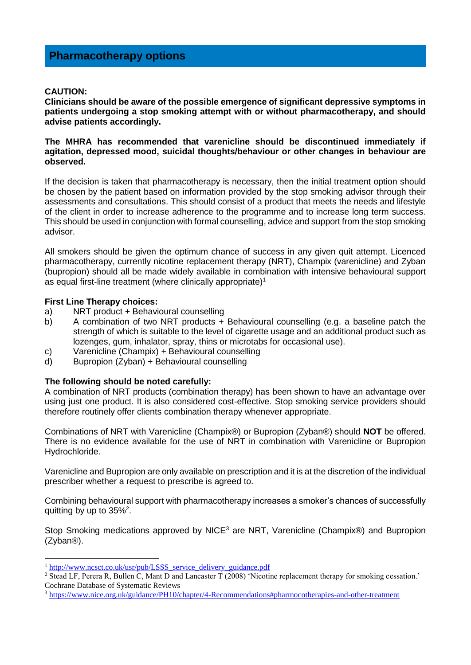#### **CAUTION:**

**Clinicians should be aware of the possible emergence of significant depressive symptoms in patients undergoing a stop smoking attempt with or without pharmacotherapy, and should advise patients accordingly.**

**The MHRA has recommended that varenicline should be discontinued immediately if agitation, depressed mood, suicidal thoughts/behaviour or other changes in behaviour are observed.**

If the decision is taken that pharmacotherapy is necessary, then the initial treatment option should be chosen by the patient based on information provided by the stop smoking advisor through their assessments and consultations. This should consist of a product that meets the needs and lifestyle of the client in order to increase adherence to the programme and to increase long term success. This should be used in conjunction with formal counselling, advice and support from the stop smoking advisor.

All smokers should be given the optimum chance of success in any given quit attempt. Licenced pharmacotherapy, currently nicotine replacement therapy (NRT), Champix (varenicline) and Zyban (bupropion) should all be made widely available in combination with intensive behavioural support as equal first-line treatment (where clinically appropriate)<sup>1</sup>

#### **First Line Therapy choices:**

1

- a) NRT product + Behavioural counselling
- b) A combination of two NRT products + Behavioural counselling (e.g. a baseline patch the strength of which is suitable to the level of cigarette usage and an additional product such as lozenges, gum, inhalator, spray, thins or microtabs for occasional use).
- c) Varenicline (Champix) + Behavioural counselling
- d) Bupropion (Zyban) + Behavioural counselling

#### **The following should be noted carefully:**

A combination of NRT products (combination therapy) has been shown to have an advantage over using just one product. It is also considered cost-effective. Stop smoking service providers should therefore routinely offer clients combination therapy whenever appropriate.

Combinations of NRT with Varenicline (Champix®) or Bupropion (Zyban®) should **NOT** be offered. There is no evidence available for the use of NRT in combination with Varenicline or Bupropion Hydrochloride.

Varenicline and Bupropion are only available on prescription and it is at the discretion of the individual prescriber whether a request to prescribe is agreed to.

Combining behavioural support with pharmacotherapy increases a smoker's chances of successfully quitting by up to  $35\%^2$ .

Stop Smoking medications approved by  $NICE<sup>3</sup>$  are NRT, Varenicline (Champix®) and Bupropion (Zyban®).

<sup>&</sup>lt;sup>1</sup> [http://www.ncsct.co.uk/usr/pub/LSSS\\_service\\_delivery\\_guidance.pdf](http://www.ncsct.co.uk/usr/pub/LSSS_service_delivery_guidance.pdf)

<sup>&</sup>lt;sup>2</sup> Stead LF, Perera R, Bullen C, Mant D and Lancaster T (2008) 'Nicotine replacement therapy for smoking cessation.' Cochrane Database of Systematic Reviews

<sup>3</sup> <https://www.nice.org.uk/guidance/PH10/chapter/4-Recommendations#pharmocotherapies-and-other-treatment>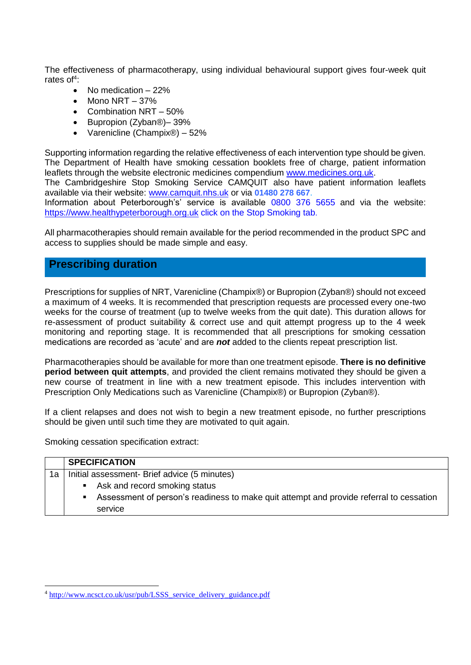The effectiveness of pharmacotherapy, using individual behavioural support gives four-week quit rates of<sup>4</sup>:

- No medication  $-22%$
- $\bullet$  Mono NRT 37%
- Combination NRT  $-50%$
- Bupropion (Zyban®)– 39%
- Varenicline (Champix®) 52%

Supporting information regarding the relative effectiveness of each intervention type should be given. The Department of Health have smoking cessation booklets free of charge, patient information leaflets through the website electronic medicines compendium [www.medicines.org.uk.](http://www.medicines.org.uk/)

The Cambridgeshire Stop Smoking Service CAMQUIT also have patient information leaflets available via their website: [www.camquit.nhs.uk](http://www.camquit.nhs.uk/) or via **01480 278 667**.

Information about Peterborough's' service is available 0800 376 5655 and via the website: [https://www.healthypeterborough.org.uk](https://www.healthypeterborough.org.uk/) click on the Stop Smoking tab.

All pharmacotherapies should remain available for the period recommended in the product SPC and access to supplies should be made simple and easy.

## **Prescribing duration**

Prescriptions for supplies of NRT, Varenicline (Champix®) or Bupropion (Zyban®) should not exceed a maximum of 4 weeks. It is recommended that prescription requests are processed every one-two weeks for the course of treatment (up to twelve weeks from the quit date). This duration allows for re-assessment of product suitability & correct use and quit attempt progress up to the 4 week monitoring and reporting stage. It is recommended that all prescriptions for smoking cessation medications are recorded as 'acute' and are *not* added to the clients repeat prescription list.

Pharmacotherapies should be available for more than one treatment episode. **There is no definitive period between quit attempts**, and provided the client remains motivated they should be given a new course of treatment in line with a new treatment episode. This includes intervention with Prescription Only Medications such as Varenicline (Champix®) or Bupropion (Zyban®).

If a client relapses and does not wish to begin a new treatment episode, no further prescriptions should be given until such time they are motivated to quit again.

Smoking cessation specification extract:

1

|    |                                              | <b>SPECIFICATION</b>                                                                    |  |  |
|----|----------------------------------------------|-----------------------------------------------------------------------------------------|--|--|
| 1a | Initial assessment- Brief advice (5 minutes) |                                                                                         |  |  |
|    | ٠                                            | Ask and record smoking status                                                           |  |  |
|    |                                              | Assessment of person's readiness to make quit attempt and provide referral to cessation |  |  |
|    |                                              | service                                                                                 |  |  |

<sup>4</sup> [http://www.ncsct.co.uk/usr/pub/LSSS\\_service\\_delivery\\_guidance.pdf](http://www.ncsct.co.uk/usr/pub/LSSS_service_delivery_guidance.pdf)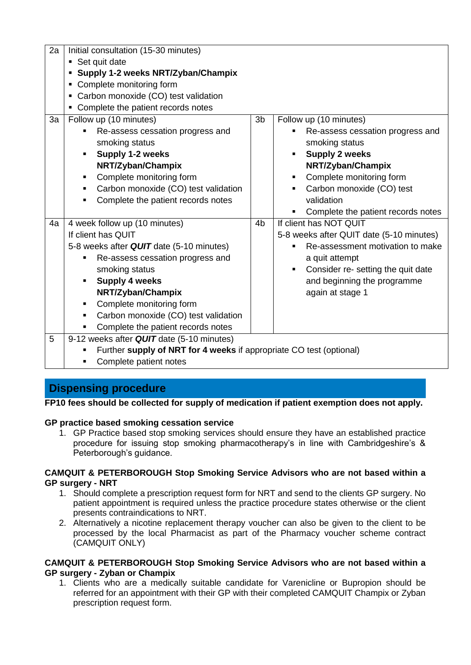| 2a | Initial consultation (15-30 minutes)<br>• Set quit date<br>• Supply 1-2 weeks NRT/Zyban/Champix<br>• Complete monitoring form<br>• Carbon monoxide (CO) test validation                                                                                                                                                                |                |                                                                                                                                                                                                                                         |  |
|----|----------------------------------------------------------------------------------------------------------------------------------------------------------------------------------------------------------------------------------------------------------------------------------------------------------------------------------------|----------------|-----------------------------------------------------------------------------------------------------------------------------------------------------------------------------------------------------------------------------------------|--|
| 3a | • Complete the patient records notes<br>Follow up (10 minutes)<br>Re-assess cessation progress and<br>٠<br>smoking status<br>Supply 1-2 weeks<br>٠<br>NRT/Zyban/Champix<br>Complete monitoring form<br>٠<br>Carbon monoxide (CO) test validation<br>٠<br>Complete the patient records notes<br>$\blacksquare$                          | 3 <sub>b</sub> | Follow up (10 minutes)<br>Re-assess cessation progress and<br>smoking status<br><b>Supply 2 weeks</b><br>NRT/Zyban/Champix<br>Complete monitoring form<br>Carbon monoxide (CO) test<br>validation<br>Complete the patient records notes |  |
| 4a | 4 week follow up (10 minutes)<br>If client has QUIT<br>5-8 weeks after QUIT date (5-10 minutes)<br>Re-assess cessation progress and<br>٠<br>smoking status<br><b>Supply 4 weeks</b><br>٠<br>NRT/Zyban/Champix<br>Complete monitoring form<br>٠<br>Carbon monoxide (CO) test validation<br>٠<br>Complete the patient records notes<br>٠ | 4 <sub>b</sub> | If client has NOT QUIT<br>5-8 weeks after QUIT date (5-10 minutes)<br>Re-assessment motivation to make<br>a quit attempt<br>Consider re- setting the quit date<br>٠<br>and beginning the programme<br>again at stage 1                  |  |
| 5  | 9-12 weeks after QUIT date (5-10 minutes)<br>Further supply of NRT for 4 weeks if appropriate CO test (optional)<br>Complete patient notes<br>٠                                                                                                                                                                                        |                |                                                                                                                                                                                                                                         |  |

# **Dispensing procedure**

**FP10 fees should be collected for supply of medication if patient exemption does not apply.**

#### **GP practice based smoking cessation service**

1. GP Practice based stop smoking services should ensure they have an established practice procedure for issuing stop smoking pharmacotherapy's in line with Cambridgeshire's & Peterborough's guidance.

#### **CAMQUIT & PETERBOROUGH Stop Smoking Service Advisors who are not based within a GP surgery - NRT**

- 1. Should complete a prescription request form for NRT and send to the clients GP surgery. No patient appointment is required unless the practice procedure states otherwise or the client presents contraindications to NRT.
- 2. Alternatively a nicotine replacement therapy voucher can also be given to the client to be processed by the local Pharmacist as part of the Pharmacy voucher scheme contract (CAMQUIT ONLY)

#### **CAMQUIT & PETERBOROUGH Stop Smoking Service Advisors who are not based within a GP surgery - Zyban or Champix**

1. Clients who are a medically suitable candidate for Varenicline or Bupropion should be referred for an appointment with their GP with their completed CAMQUIT Champix or Zyban prescription request form.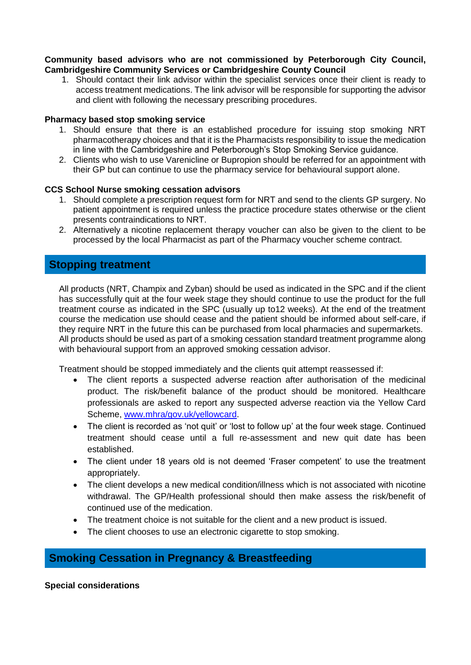#### **Community based advisors who are not commissioned by Peterborough City Council, Cambridgeshire Community Services or Cambridgeshire County Council**

1. Should contact their link advisor within the specialist services once their client is ready to access treatment medications. The link advisor will be responsible for supporting the advisor and client with following the necessary prescribing procedures.

#### **Pharmacy based stop smoking service**

- 1. Should ensure that there is an established procedure for issuing stop smoking NRT pharmacotherapy choices and that it is the Pharmacists responsibility to issue the medication in line with the Cambridgeshire and Peterborough's Stop Smoking Service guidance.
- 2. Clients who wish to use Varenicline or Bupropion should be referred for an appointment with their GP but can continue to use the pharmacy service for behavioural support alone.

#### **CCS School Nurse smoking cessation advisors**

- 1. Should complete a prescription request form for NRT and send to the clients GP surgery. No patient appointment is required unless the practice procedure states otherwise or the client presents contraindications to NRT.
- 2. Alternatively a nicotine replacement therapy voucher can also be given to the client to be processed by the local Pharmacist as part of the Pharmacy voucher scheme contract.

## **Stopping treatment**

All products (NRT, Champix and Zyban) should be used as indicated in the SPC and if the client has successfully quit at the four week stage they should continue to use the product for the full treatment course as indicated in the SPC (usually up to12 weeks). At the end of the treatment course the medication use should cease and the patient should be informed about self-care, if they require NRT in the future this can be purchased from local pharmacies and supermarkets. All products should be used as part of a smoking cessation standard treatment programme along with behavioural support from an approved smoking cessation advisor.

Treatment should be stopped immediately and the clients quit attempt reassessed if:

- The client reports a suspected adverse reaction after authorisation of the medicinal product. The risk/benefit balance of the product should be monitored. Healthcare professionals are asked to report any suspected adverse reaction via the Yellow Card Scheme, [www.mhra/gov.uk/yellowcard.](http://www.mhra/gov.uk/yellowcard)
- The client is recorded as 'not quit' or 'lost to follow up' at the four week stage. Continued treatment should cease until a full re-assessment and new quit date has been established.
- The client under 18 years old is not deemed 'Fraser competent' to use the treatment appropriately.
- The client develops a new medical condition/illness which is not associated with nicotine withdrawal. The GP/Health professional should then make assess the risk/benefit of continued use of the medication.
- The treatment choice is not suitable for the client and a new product is issued.
- The client chooses to use an electronic cigarette to stop smoking.

# **Smoking Cessation in Pregnancy & Breastfeeding**

#### **Special considerations**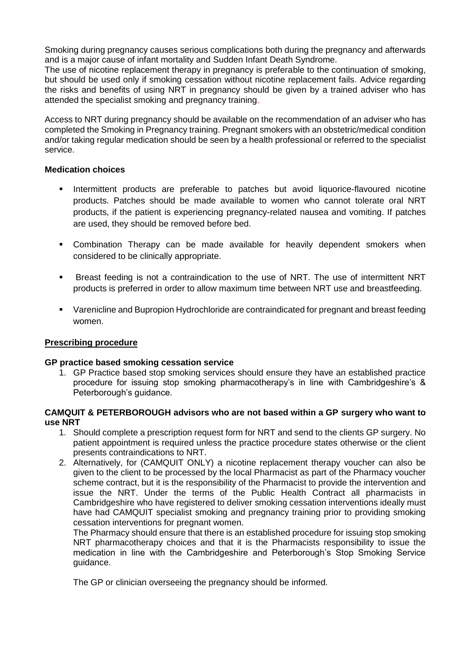Smoking during pregnancy causes serious complications both during the pregnancy and afterwards and is a major cause of infant mortality and Sudden Infant Death Syndrome.

The use of nicotine replacement therapy in pregnancy is preferable to the continuation of smoking, but should be used only if smoking cessation without nicotine replacement fails. Advice regarding the risks and benefits of using NRT in pregnancy should be given by a trained adviser who has attended the specialist smoking and pregnancy training.

Access to NRT during pregnancy should be available on the recommendation of an adviser who has completed the Smoking in Pregnancy training. Pregnant smokers with an obstetric/medical condition and/or taking regular medication should be seen by a health professional or referred to the specialist service.

#### **Medication choices**

- **Intermittent products are preferable to patches but avoid liquorice-flavoured nicotine** products. Patches should be made available to women who cannot tolerate oral NRT products, if the patient is experiencing pregnancy-related nausea and vomiting. If patches are used, they should be removed before bed.
- Combination Therapy can be made available for heavily dependent smokers when considered to be clinically appropriate.
- Breast feeding is not a contraindication to the use of NRT. The use of intermittent NRT products is preferred in order to allow maximum time between NRT use and breastfeeding.
- Varenicline and Bupropion Hydrochloride are contraindicated for pregnant and breast feeding women.

#### **Prescribing procedure**

#### **GP practice based smoking cessation service**

1. GP Practice based stop smoking services should ensure they have an established practice procedure for issuing stop smoking pharmacotherapy's in line with Cambridgeshire's & Peterborough's guidance.

#### **CAMQUIT & PETERBOROUGH advisors who are not based within a GP surgery who want to use NRT**

- 1. Should complete a prescription request form for NRT and send to the clients GP surgery. No patient appointment is required unless the practice procedure states otherwise or the client presents contraindications to NRT.
- 2. Alternatively, for (CAMQUIT ONLY) a nicotine replacement therapy voucher can also be given to the client to be processed by the local Pharmacist as part of the Pharmacy voucher scheme contract, but it is the responsibility of the Pharmacist to provide the intervention and issue the NRT. Under the terms of the Public Health Contract all pharmacists in Cambridgeshire who have registered to deliver smoking cessation interventions ideally must have had CAMQUIT specialist smoking and pregnancy training prior to providing smoking cessation interventions for pregnant women.

The Pharmacy should ensure that there is an established procedure for issuing stop smoking NRT pharmacotherapy choices and that it is the Pharmacists responsibility to issue the medication in line with the Cambridgeshire and Peterborough's Stop Smoking Service guidance.

The GP or clinician overseeing the pregnancy should be informed.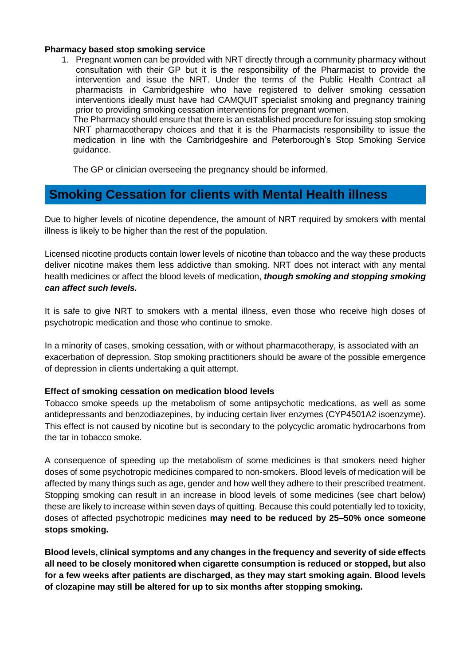#### **Pharmacy based stop smoking service**

1. Pregnant women can be provided with NRT directly through a community pharmacy without consultation with their GP but it is the responsibility of the Pharmacist to provide the intervention and issue the NRT. Under the terms of the Public Health Contract all pharmacists in Cambridgeshire who have registered to deliver smoking cessation interventions ideally must have had CAMQUIT specialist smoking and pregnancy training prior to providing smoking cessation interventions for pregnant women.

The Pharmacy should ensure that there is an established procedure for issuing stop smoking NRT pharmacotherapy choices and that it is the Pharmacists responsibility to issue the medication in line with the Cambridgeshire and Peterborough's Stop Smoking Service guidance.

The GP or clinician overseeing the pregnancy should be informed.

# **Smoking Cessation for clients with Mental Health illness**

Due to higher levels of nicotine dependence, the amount of NRT required by smokers with mental illness is likely to be higher than the rest of the population.

Licensed nicotine products contain lower levels of nicotine than tobacco and the way these products deliver nicotine makes them less addictive than smoking. NRT does not interact with any mental health medicines or affect the blood levels of medication, *though smoking and stopping smoking can affect such levels.*

It is safe to give NRT to smokers with a mental illness, even those who receive high doses of psychotropic medication and those who continue to smoke.

In a minority of cases, smoking cessation, with or without pharmacotherapy, is associated with an exacerbation of depression. Stop smoking practitioners should be aware of the possible emergence of depression in clients undertaking a quit attempt.

#### **Effect of smoking cessation on medication blood levels**

Tobacco smoke speeds up the metabolism of some antipsychotic medications, as well as some antidepressants and benzodiazepines, by inducing certain liver enzymes (CYP4501A2 isoenzyme). This effect is not caused by nicotine but is secondary to the polycyclic aromatic hydrocarbons from the tar in tobacco smoke.

A consequence of speeding up the metabolism of some medicines is that smokers need higher doses of some psychotropic medicines compared to non-smokers. Blood levels of medication will be affected by many things such as age, gender and how well they adhere to their prescribed treatment. Stopping smoking can result in an increase in blood levels of some medicines (see chart below) these are likely to increase within seven days of quitting. Because this could potentially led to toxicity, doses of affected psychotropic medicines **may need to be reduced by 25–50% once someone stops smoking.**

**Blood levels, clinical symptoms and any changes in the frequency and severity of side effects all need to be closely monitored when cigarette consumption is reduced or stopped, but also for a few weeks after patients are discharged, as they may start smoking again. Blood levels of clozapine may still be altered for up to six months after stopping smoking.**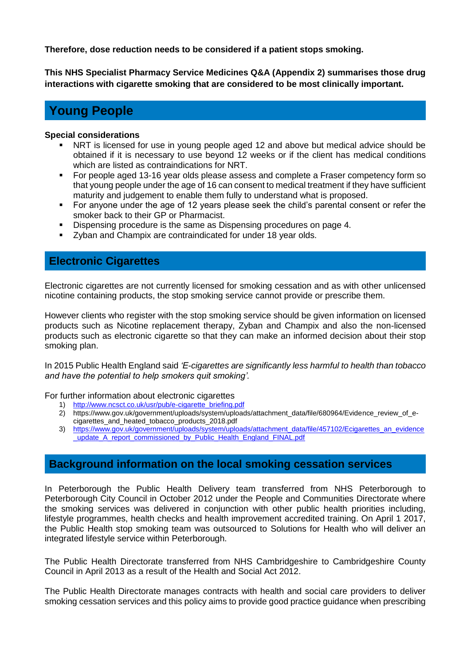**Therefore, dose reduction needs to be considered if a patient stops smoking.** 

**This NHS Specialist Pharmacy Service Medicines Q&A (Appendix 2) summarises those drug interactions with cigarette smoking that are considered to be most clinically important.**

# **Young People**

#### **Special considerations**

- NRT is licensed for use in young people aged 12 and above but medical advice should be obtained if it is necessary to use beyond 12 weeks or if the client has medical conditions which are listed as contraindications for NRT.
- For people aged 13-16 year olds please assess and complete a Fraser competency form so that young people under the age of 16 can consent to medical treatment if they have sufficient maturity and judgement to enable them fully to understand what is proposed.
- For anyone under the age of 12 years please seek the child's parental consent or refer the smoker back to their GP or Pharmacist.
- Dispensing procedure is the same as Dispensing procedures on page 4.
- **EX4** Zyban and Champix are contraindicated for under 18 year olds.

# **Electronic Cigarettes**

Electronic cigarettes are not currently licensed for smoking cessation and as with other unlicensed nicotine containing products, the stop smoking service cannot provide or prescribe them.

However clients who register with the stop smoking service should be given information on licensed products such as Nicotine replacement therapy, Zyban and Champix and also the non-licensed products such as electronic cigarette so that they can make an informed decision about their stop smoking plan.

In 2015 Public Health England said *'E-cigarettes are significantly less harmful to health than tobacco and have the potential to help smokers quit smoking'.*

For further information about electronic cigarettes

- 1) [http://www.ncsct.co.uk/usr/pub/e-cigarette\\_briefing.pdf](http://www.ncsct.co.uk/usr/pub/e-cigarette_briefing.pdf)
- 2) https://www.gov.uk/government/uploads/system/uploads/attachment\_data/file/680964/Evidence\_review\_of\_ecigarettes\_and\_heated\_tobacco\_products\_2018.pdf
- 3) [https://www.gov.uk/government/uploads/system/uploads/attachment\\_data/file/457102/Ecigarettes\\_an\\_evidence](https://www.gov.uk/government/uploads/system/uploads/attachment_data/file/457102/Ecigarettes_an_evidence_update_A_report_commissioned_by_Public_Health_England_FINAL.pdf) update A\_report\_commissioned\_by\_Public\_Health\_England\_FINAL.pdf

# **Background information on the local smoking cessation services**

In Peterborough the Public Health Delivery team transferred from NHS Peterborough to Peterborough City Council in October 2012 under the People and Communities Directorate where the smoking services was delivered in conjunction with other public health priorities including, lifestyle programmes, health checks and health improvement accredited training. On April 1 2017, the Public Health stop smoking team was outsourced to Solutions for Health who will deliver an integrated lifestyle service within Peterborough.

The Public Health Directorate transferred from NHS Cambridgeshire to Cambridgeshire County Council in April 2013 as a result of the Health and Social Act 2012.

The Public Health Directorate manages contracts with health and social care providers to deliver smoking cessation services and this policy aims to provide good practice guidance when prescribing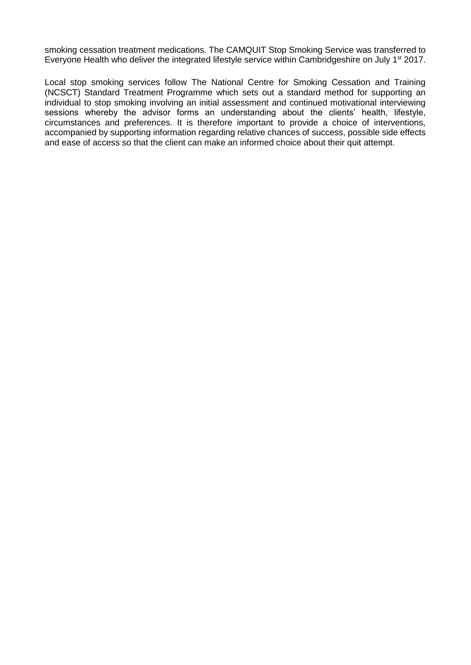smoking cessation treatment medications. The CAMQUIT Stop Smoking Service was transferred to Everyone Health who deliver the integrated lifestyle service within Cambridgeshire on July 1<sup>st</sup> 2017.

Local stop smoking services follow The National Centre for Smoking Cessation and Training (NCSCT) Standard Treatment Programme which sets out a standard method for supporting an individual to stop smoking involving an initial assessment and continued motivational interviewing sessions whereby the advisor forms an understanding about the clients' health, lifestyle, circumstances and preferences. It is therefore important to provide a choice of interventions, accompanied by supporting information regarding relative chances of success, possible side effects and ease of access so that the client can make an informed choice about their quit attempt.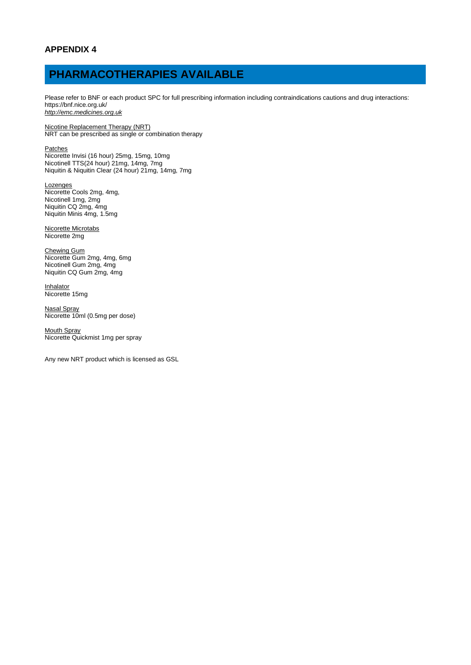# **PHARMACOTHERAPIES AVAILABLE**

Please refer to BNF or each product SPC for full prescribing information including contraindications cautions and drug interactions: https://bnf.nice.org.uk/ *[http://emc.medicines.org.uk](http://emc.medicines.org.uk/)*

Nicotine Replacement Therapy (NRT) NRT can be prescribed as single or combination therapy

**Patches** 

Nicorette Invisi (16 hour) 25mg, 15mg, 10mg Nicotinell TTS(24 hour) 21mg, 14mg, 7mg Niquitin & Niquitin Clear (24 hour) 21mg, 14mg, 7mg

**Lozenges** Nicorette Cools 2mg, 4mg, Nicotinell 1mg, 2mg Niquitin CQ 2mg, 4mg Niquitin Minis 4mg, 1.5mg

Nicorette Microtabs Nicorette 2mg

Chewing Gum Nicorette Gum 2mg, 4mg, 6mg Nicotinell Gum 2mg, 4mg Niquitin CQ Gum 2mg, 4mg

**Inhalator** Nicorette 15mg

Nasal Spray Nicorette 10ml (0.5mg per dose)

Mouth Spray Nicorette Quickmist 1mg per spray

Any new NRT product which is licensed as GSL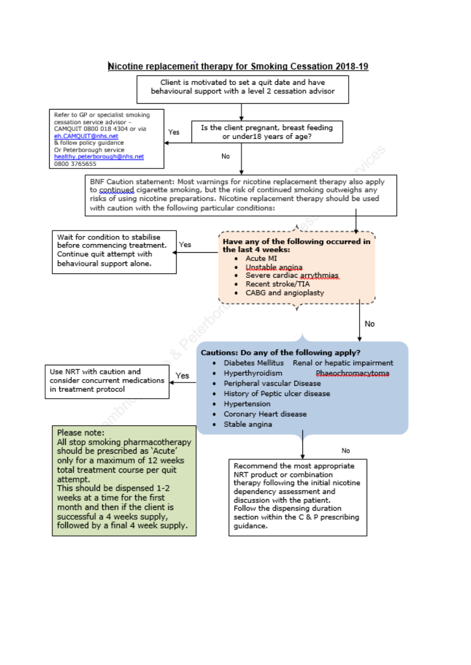#### Nicotine replacement therapy for Smoking Cessation 2018-19

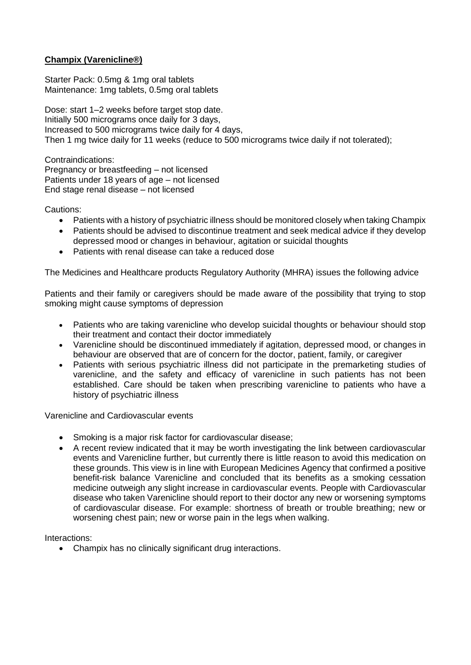## **Champix (Varenicline®)**

Starter Pack: 0.5mg & 1mg oral tablets Maintenance: 1mg tablets, 0.5mg oral tablets

Dose: start 1–2 weeks before target stop date. Initially 500 micrograms once daily for 3 days, Increased to 500 micrograms twice daily for 4 days, Then 1 mg twice daily for 11 weeks (reduce to 500 micrograms twice daily if not tolerated);

Contraindications: Pregnancy or breastfeeding – not licensed Patients under 18 years of age – not licensed End stage renal disease – not licensed

Cautions:

- Patients with a history of psychiatric illness should be monitored closely when taking Champix
- Patients should be advised to discontinue treatment and seek medical advice if they develop depressed mood or changes in behaviour, agitation or suicidal thoughts
- Patients with renal disease can take a reduced dose

The Medicines and Healthcare products Regulatory Authority (MHRA) issues the following advice

Patients and their family or caregivers should be made aware of the possibility that trying to stop smoking might cause symptoms of depression

- Patients who are taking varenicline who develop suicidal thoughts or behaviour should stop their treatment and contact their doctor immediately
- Varenicline should be discontinued immediately if agitation, depressed mood, or changes in behaviour are observed that are of concern for the doctor, patient, family, or caregiver
- Patients with serious psychiatric illness did not participate in the premarketing studies of varenicline, and the safety and efficacy of varenicline in such patients has not been established. Care should be taken when prescribing varenicline to patients who have a history of psychiatric illness

Varenicline and Cardiovascular events

- Smoking is a major risk factor for cardiovascular disease;
- A recent review indicated that it may be worth investigating the link between cardiovascular events and Varenicline further, but currently there is little reason to avoid this medication on these grounds. This view is in line with European Medicines Agency that confirmed a positive benefit-risk balance Varenicline and concluded that its benefits as a smoking cessation medicine outweigh any slight increase in cardiovascular events. People with Cardiovascular disease who taken Varenicline should report to their doctor any new or worsening symptoms of cardiovascular disease. For example: shortness of breath or trouble breathing; new or worsening chest pain; new or worse pain in the legs when walking.

Interactions:

Champix has no clinically significant drug interactions.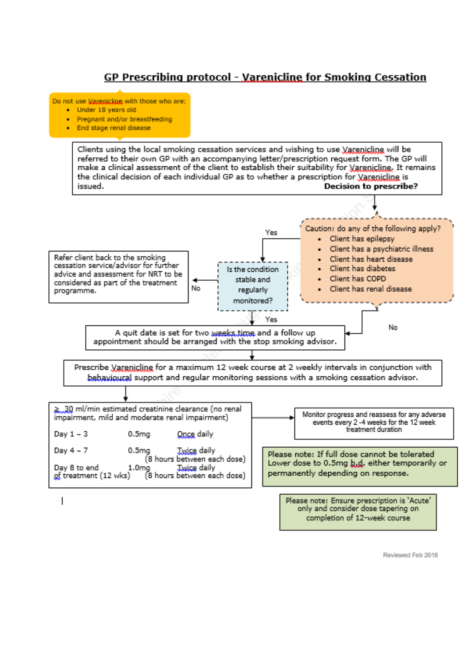# GP Prescribing protocol - Varenicline for Smoking Cessation

Do not use Marenicline with those who are:

- · Under 18 years old
- · Pregnant and/or breastfeeding
- · End stage renal disease

Clients using the local smoking cessation services and wishing to use Varenicline will be referred to their own GP with an accompanying letter/prescription request form. The GP will make a clinical assessment of the client to establish their suitability for Varenicline. It remains the clinical decision of each individual GP as to whether a prescription for Varenicline is issued. **Decision to prescribe?** 



ı

Reviewed Feb 2018

only and consider dose tapering on completion of 12-week course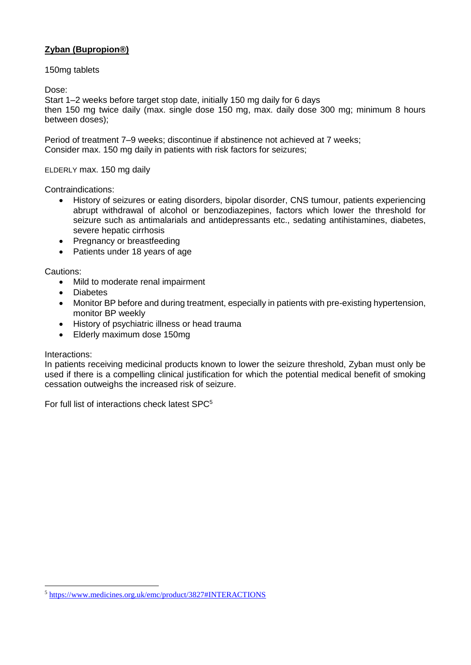## **Zyban (Bupropion®)**

#### 150mg tablets

Dose:

Start 1–2 weeks before target stop date, initially 150 mg daily for 6 days then 150 mg twice daily (max. single dose 150 mg, max. daily dose 300 mg; minimum 8 hours between doses);

Period of treatment 7–9 weeks; discontinue if abstinence not achieved at 7 weeks; Consider max. 150 mg daily in patients with risk factors for seizures;

ELDERLY max. 150 mg daily

Contraindications:

- History of seizures or eating disorders, bipolar disorder, CNS tumour, patients experiencing abrupt withdrawal of alcohol or benzodiazepines, factors which lower the threshold for seizure such as antimalarials and antidepressants etc., sedating antihistamines, diabetes, severe hepatic cirrhosis
- Pregnancy or breastfeeding
- Patients under 18 years of age

Cautions:

- Mild to moderate renal impairment
- Diabetes
- Monitor BP before and during treatment, especially in patients with pre-existing hypertension, monitor BP weekly
- History of psychiatric illness or head trauma
- Elderly maximum dose 150mg

#### Interactions:

1

In patients receiving medicinal products known to lower the seizure threshold, Zyban must only be used if there is a compelling clinical justification for which the potential medical benefit of smoking cessation outweighs the increased risk of seizure.

For full list of interactions check latest SPC<sup>5</sup>

<sup>5</sup> <https://www.medicines.org.uk/emc/product/3827#INTERACTIONS>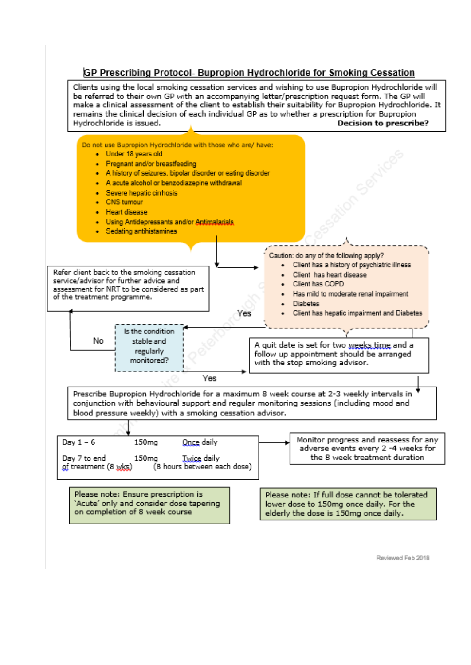## GP Prescribing Protocol- Bupropion Hydrochloride for Smoking Cessation

Clients using the local smoking cessation services and wishing to use Bupropion Hydrochloride will be referred to their own GP with an accompanying letter/prescription request form. The GP will make a clinical assessment of the client to establish their suitability for Bupropion Hydrochloride. It remains the clinical decision of each individual GP as to whether a prescription for Bupropion Hydrochloride is issued. **Decision to prescribe?** 



Reviewed Feb 2018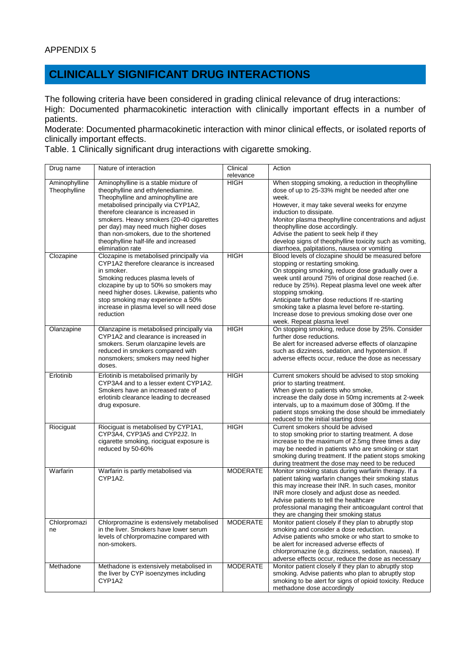# **CLINICALLY SIGNIFICANT DRUG INTERACTIONS**

The following criteria have been considered in grading clinical relevance of drug interactions: High: Documented pharmacokinetic interaction with clinically important effects in a number of patients.

Moderate: Documented pharmacokinetic interaction with minor clinical effects, or isolated reports of clinically important effects.

Table. 1 Clinically significant drug interactions with cigarette smoking.

| Drug name                                  | Nature of interaction                                                                                                                                                                                                                                                                                                                                                                                                              | Clinical<br>relevance | Action                                                                                                                                                                                                                                                                                                                                                                                                                                                                                            |
|--------------------------------------------|------------------------------------------------------------------------------------------------------------------------------------------------------------------------------------------------------------------------------------------------------------------------------------------------------------------------------------------------------------------------------------------------------------------------------------|-----------------------|---------------------------------------------------------------------------------------------------------------------------------------------------------------------------------------------------------------------------------------------------------------------------------------------------------------------------------------------------------------------------------------------------------------------------------------------------------------------------------------------------|
| Aminophylline<br>Theophylline<br>Clozapine | Aminophylline is a stable mixture of<br>theophylline and ethylenediamine.<br>Theophylline and aminophylline are<br>metabolised principally via CYP1A2,<br>therefore clearance is increased in<br>smokers. Heavy smokers (20-40 cigarettes<br>per day) may need much higher doses<br>than non-smokers, due to the shortened<br>theophylline half-life and increased<br>elimination rate<br>Clozapine is metabolised principally via | <b>HIGH</b><br>HIGH   | When stopping smoking, a reduction in theophylline<br>dose of up to 25-33% might be needed after one<br>week.<br>However, it may take several weeks for enzyme<br>induction to dissipate.<br>Monitor plasma theophylline concentrations and adjust<br>theophylline dose accordingly.<br>Advise the patient to seek help if they<br>develop signs of theophylline toxicity such as vomiting,<br>diarrhoea, palpitations, nausea or vomiting<br>Blood levels of clozapine should be measured before |
|                                            | CYP1A2 therefore clearance is increased<br>in smoker.<br>Smoking reduces plasma levels of<br>clozapine by up to 50% so smokers may<br>need higher doses. Likewise, patients who<br>stop smoking may experience a 50%<br>increase in plasma level so will need dose<br>reduction                                                                                                                                                    |                       | stopping or restarting smoking.<br>On stopping smoking, reduce dose gradually over a<br>week until around 75% of original dose reached (i.e.<br>reduce by 25%). Repeat plasma level one week after<br>stopping smoking.<br>Anticipate further dose reductions If re-starting<br>smoking take a plasma level before re-starting.<br>Increase dose to previous smoking dose over one<br>week. Repeat plasma level                                                                                   |
| Olanzapine                                 | Olanzapine is metabolised principally via<br>CYP1A2 and clearance is increased in<br>smokers. Serum olanzapine levels are<br>reduced in smokers compared with<br>nonsmokers; smokers may need higher<br>doses.                                                                                                                                                                                                                     | HIGH                  | On stopping smoking, reduce dose by 25%. Consider<br>further dose reductions.<br>Be alert for increased adverse effects of olanzapine<br>such as dizziness, sedation, and hypotension. If<br>adverse effects occur, reduce the dose as necessary                                                                                                                                                                                                                                                  |
| Erlotinib                                  | Erlotinib is metabolised primarily by<br>CYP3A4 and to a lesser extent CYP1A2.<br>Smokers have an increased rate of<br>erlotinib clearance leading to decreased<br>drug exposure.                                                                                                                                                                                                                                                  | <b>HIGH</b>           | Current smokers should be advised to stop smoking<br>prior to starting treatment.<br>When given to patients who smoke,<br>increase the daily dose in 50mg increments at 2-week<br>intervals, up to a maximum dose of 300mg. If the<br>patient stops smoking the dose should be immediately<br>reduced to the initial starting dose                                                                                                                                                                |
| Riociguat                                  | Riociguat is metabolised by CYP1A1,<br>CYP3A4, CYP3A5 and CYP2J2. In<br>cigarette smoking, riociguat exposure is<br>reduced by 50-60%                                                                                                                                                                                                                                                                                              | <b>HIGH</b>           | Current smokers should be advised<br>to stop smoking prior to starting treatment. A dose<br>increase to the maximum of 2.5mg three times a day<br>may be needed in patients who are smoking or start<br>smoking during treatment. If the patient stops smoking<br>during treatment the dose may need to be reduced                                                                                                                                                                                |
| Warfarin                                   | Warfarin is partly metabolised via<br>CYP1A2.                                                                                                                                                                                                                                                                                                                                                                                      | <b>MODERATE</b>       | Monitor smoking status during warfarin therapy. If a<br>patient taking warfarin changes their smoking status<br>this may increase their INR. In such cases, monitor<br>INR more closely and adjust dose as needed.<br>Advise patients to tell the healthcare<br>professional managing their anticoagulant control that<br>they are changing their smoking status                                                                                                                                  |
| Chlorpromazi<br>ne                         | Chlorpromazine is extensively metabolised<br>in the liver. Smokers have lower serum<br>levels of chlorpromazine compared with<br>non-smokers.                                                                                                                                                                                                                                                                                      | <b>MODERATE</b>       | Monitor patient closely if they plan to abruptly stop<br>smoking and consider a dose reduction.<br>Advise patients who smoke or who start to smoke to<br>be alert for increased adverse effects of<br>chlorpromazine (e.g. dizziness, sedation, nausea). If<br>adverse effects occur, reduce the dose as necessary                                                                                                                                                                                |
| Methadone                                  | Methadone is extensively metabolised in<br>the liver by CYP isoenzymes including<br>CYP1A2                                                                                                                                                                                                                                                                                                                                         | <b>MODERATE</b>       | Monitor patient closely if they plan to abruptly stop<br>smoking. Advise patients who plan to abruptly stop<br>smoking to be alert for signs of opioid toxicity. Reduce<br>methadone dose accordingly                                                                                                                                                                                                                                                                                             |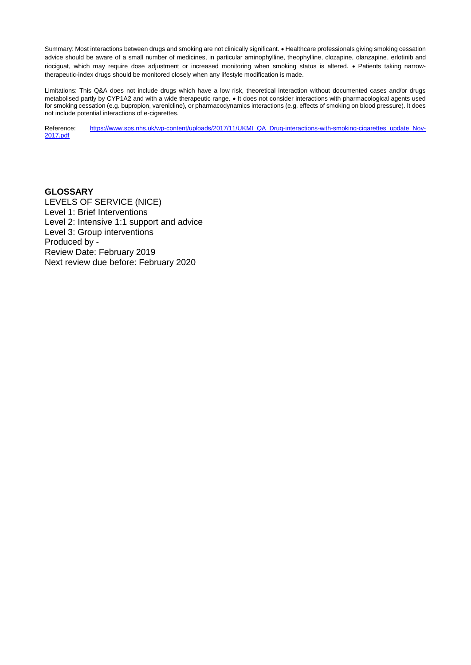Summary: Most interactions between drugs and smoking are not clinically significant. • Healthcare professionals giving smoking cessation advice should be aware of a small number of medicines, in particular aminophylline, theophylline, clozapine, olanzapine, erlotinib and riociguat, which may require dose adjustment or increased monitoring when smoking status is altered. • Patients taking narrowtherapeutic-index drugs should be monitored closely when any lifestyle modification is made.

Limitations: This Q&A does not include drugs which have a low risk, theoretical interaction without documented cases and/or drugs metabolised partly by CYP1A2 and with a wide therapeutic range. • It does not consider interactions with pharmacological agents used for smoking cessation (e.g. bupropion, varenicline), or pharmacodynamics interactions (e.g. effects of smoking on blood pressure). It does not include potential interactions of e-cigarettes.

Reference: [https://www.sps.nhs.uk/wp-content/uploads/2017/11/UKMI\\_QA\\_Drug-interactions-with-smoking-cigarettes\\_update\\_Nov-](https://www.sps.nhs.uk/wp-content/uploads/2017/11/UKMI_QA_Drug-interactions-with-smoking-cigarettes_update_Nov-2017.pdf)[2017.pdf](https://www.sps.nhs.uk/wp-content/uploads/2017/11/UKMI_QA_Drug-interactions-with-smoking-cigarettes_update_Nov-2017.pdf)

#### **GLOSSARY**

LEVELS OF SERVICE (NICE) Level 1: Brief Interventions Level 2: Intensive 1:1 support and advice Level 3: Group interventions Produced by - Review Date: February 2019 Next review due before: February 2020